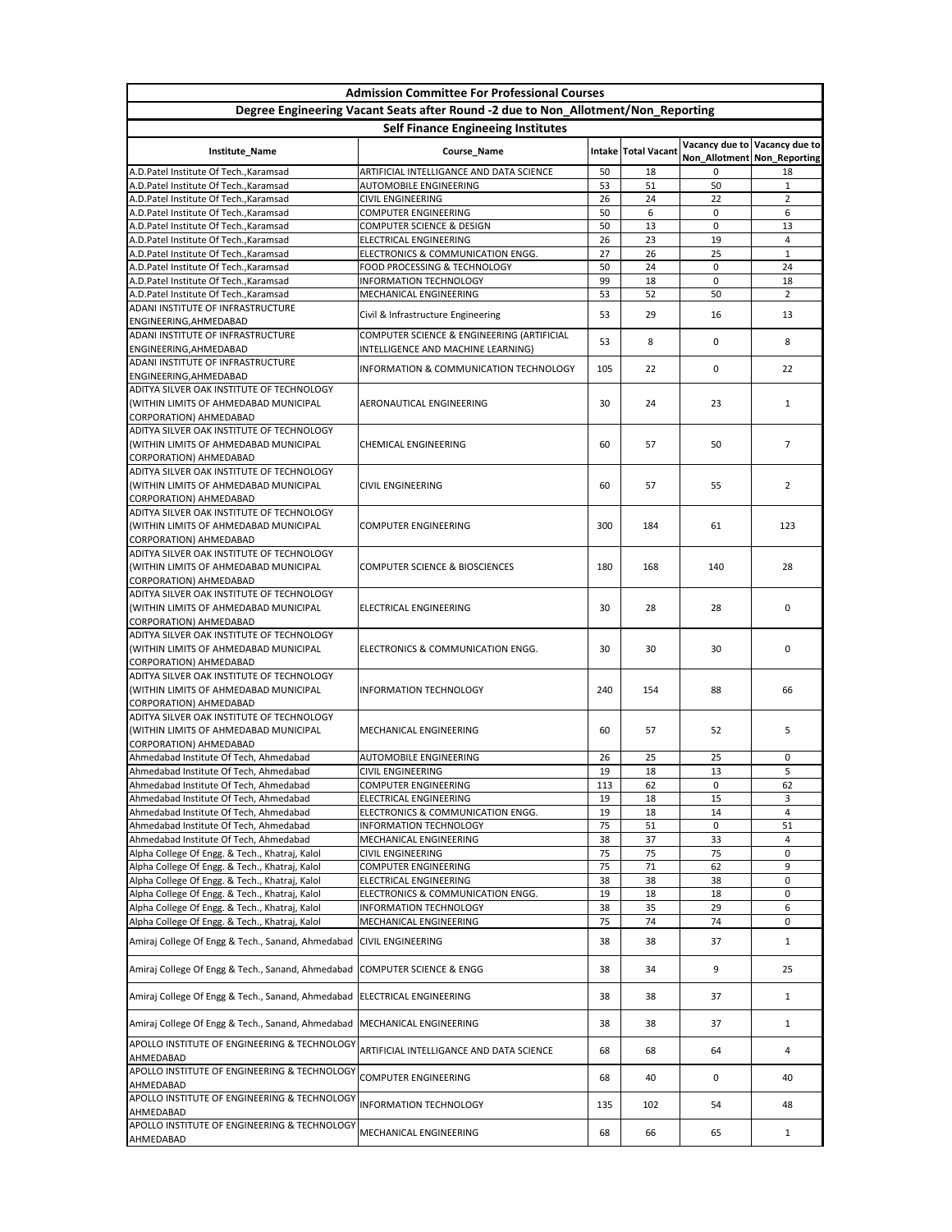|                                                                                                  | <b>Admission Committee For Professional Courses</b>                               |          |                     |          |                               |  |  |  |
|--------------------------------------------------------------------------------------------------|-----------------------------------------------------------------------------------|----------|---------------------|----------|-------------------------------|--|--|--|
|                                                                                                  | Degree Engineering Vacant Seats after Round -2 due to Non_Allotment/Non_Reporting |          |                     |          |                               |  |  |  |
| <b>Self Finance Engineeing Institutes</b>                                                        |                                                                                   |          |                     |          |                               |  |  |  |
| Institute_Name                                                                                   | Course_Name                                                                       |          | Intake Total Vacant |          | Vacancy due to Vacancy due to |  |  |  |
|                                                                                                  |                                                                                   |          |                     |          | Non_Allotment   Non_Reporting |  |  |  |
| A.D.Patel Institute Of Tech., Karamsad<br>A.D.Patel Institute Of Tech., Karamsad                 | ARTIFICIAL INTELLIGANCE AND DATA SCIENCE<br><b>AUTOMOBILE ENGINEERING</b>         | 50<br>53 | 18<br>51            | 0<br>50  | 18<br>$\mathbf{1}$            |  |  |  |
| A.D.Patel Institute Of Tech., Karamsad                                                           | <b>CIVIL ENGINEERING</b>                                                          | 26       | 24                  | 22       | $\overline{2}$                |  |  |  |
| A.D.Patel Institute Of Tech., Karamsad                                                           | <b>COMPUTER ENGINEERING</b>                                                       | 50       | 6                   | 0        | 6                             |  |  |  |
| A.D.Patel Institute Of Tech., Karamsad                                                           | <b>COMPUTER SCIENCE &amp; DESIGN</b>                                              | 50       | 13                  | 0        | 13                            |  |  |  |
| A.D. Patel Institute Of Tech., Karamsad                                                          | <b>ELECTRICAL ENGINEERING</b>                                                     | 26       | 23                  | 19       | 4                             |  |  |  |
| A.D. Patel Institute Of Tech., Karamsad                                                          | ELECTRONICS & COMMUNICATION ENGG.                                                 | 27       | 26                  | 25       | $\mathbf{1}$                  |  |  |  |
| A.D.Patel Institute Of Tech., Karamsad                                                           | FOOD PROCESSING & TECHNOLOGY                                                      | 50       | 24                  | 0        | 24                            |  |  |  |
| A.D.Patel Institute Of Tech., Karamsad<br>A.D.Patel Institute Of Tech., Karamsad                 | <b>INFORMATION TECHNOLOGY</b><br>MECHANICAL ENGINEERING                           | 99<br>53 | 18<br>52            | 0<br>50  | 18<br>$2^{\circ}$             |  |  |  |
| ADANI INSTITUTE OF INFRASTRUCTURE                                                                |                                                                                   |          |                     |          |                               |  |  |  |
| ENGINEERING, AHMEDABAD                                                                           | Civil & Infrastructure Engineering                                                | 53       | 29                  | 16       | 13                            |  |  |  |
| ADANI INSTITUTE OF INFRASTRUCTURE                                                                | COMPUTER SCIENCE & ENGINEERING (ARTIFICIAL                                        | 53       | 8                   | 0        | 8                             |  |  |  |
| ENGINEERING, AHMEDABAD                                                                           | INTELLIGENCE AND MACHINE LEARNING)                                                |          |                     |          |                               |  |  |  |
| ADANI INSTITUTE OF INFRASTRUCTURE                                                                | <b>INFORMATION &amp; COMMUNICATION TECHNOLOGY</b>                                 | 105      | 22                  | 0        | 22                            |  |  |  |
| ENGINEERING, AHMEDABAD<br>ADITYA SILVER OAK INSTITUTE OF TECHNOLOGY                              |                                                                                   |          |                     |          |                               |  |  |  |
| (WITHIN LIMITS OF AHMEDABAD MUNICIPAL                                                            | AERONAUTICAL ENGINEERING                                                          | 30       | 24                  | 23       | 1                             |  |  |  |
| CORPORATION) AHMEDABAD                                                                           |                                                                                   |          |                     |          |                               |  |  |  |
| ADITYA SILVER OAK INSTITUTE OF TECHNOLOGY                                                        |                                                                                   |          |                     |          |                               |  |  |  |
| (WITHIN LIMITS OF AHMEDABAD MUNICIPAL                                                            | <b>CHEMICAL ENGINEERING</b>                                                       | 60       | 57                  | 50       | $\overline{7}$                |  |  |  |
| CORPORATION) AHMEDABAD                                                                           |                                                                                   |          |                     |          |                               |  |  |  |
| ADITYA SILVER OAK INSTITUTE OF TECHNOLOGY                                                        |                                                                                   |          |                     |          |                               |  |  |  |
| (WITHIN LIMITS OF AHMEDABAD MUNICIPAL                                                            | <b>CIVIL ENGINEERING</b>                                                          | 60       | 57                  | 55       | 2                             |  |  |  |
| <b>CORPORATION) AHMEDABAD</b><br>ADITYA SILVER OAK INSTITUTE OF TECHNOLOGY                       |                                                                                   |          |                     |          |                               |  |  |  |
| (WITHIN LIMITS OF AHMEDABAD MUNICIPAL                                                            | <b>COMPUTER ENGINEERING</b>                                                       | 300      | 184                 | 61       | 123                           |  |  |  |
| <b>CORPORATION) AHMEDABAD</b>                                                                    |                                                                                   |          |                     |          |                               |  |  |  |
| ADITYA SILVER OAK INSTITUTE OF TECHNOLOGY                                                        |                                                                                   |          |                     |          |                               |  |  |  |
| (WITHIN LIMITS OF AHMEDABAD MUNICIPAL                                                            | <b>COMPUTER SCIENCE &amp; BIOSCIENCES</b>                                         | 180      | 168                 | 140      | 28                            |  |  |  |
| <b>CORPORATION) AHMEDABAD</b>                                                                    |                                                                                   |          |                     |          |                               |  |  |  |
| ADITYA SILVER OAK INSTITUTE OF TECHNOLOGY                                                        |                                                                                   |          |                     |          |                               |  |  |  |
| (WITHIN LIMITS OF AHMEDABAD MUNICIPAL                                                            | ELECTRICAL ENGINEERING                                                            | 30       | 28                  | 28       | 0                             |  |  |  |
| <b>CORPORATION) AHMEDABAD</b><br>ADITYA SILVER OAK INSTITUTE OF TECHNOLOGY                       |                                                                                   |          |                     |          |                               |  |  |  |
| (WITHIN LIMITS OF AHMEDABAD MUNICIPAL                                                            | ELECTRONICS & COMMUNICATION ENGG.                                                 | 30       | 30                  | 30       | 0                             |  |  |  |
| <b>CORPORATION) AHMEDABAD</b>                                                                    |                                                                                   |          |                     |          |                               |  |  |  |
| ADITYA SILVER OAK INSTITUTE OF TECHNOLOGY                                                        |                                                                                   |          |                     |          |                               |  |  |  |
| (WITHIN LIMITS OF AHMEDABAD MUNICIPAL                                                            | <b>INFORMATION TECHNOLOGY</b>                                                     | 240      | 154                 | 88       | 66                            |  |  |  |
| <b>CORPORATION) AHMEDABAD</b>                                                                    |                                                                                   |          |                     |          |                               |  |  |  |
| ADITYA SILVER OAK INSTITUTE OF TECHNOLOGY<br>(WITHIN LIMITS OF AHMEDABAD MUNICIPAL               |                                                                                   | 60       | 57                  | 52       | 5                             |  |  |  |
| <b>CORPORATION) AHMEDABAD</b>                                                                    | MECHANICAL ENGINEERING                                                            |          |                     |          |                               |  |  |  |
| Ahmedabad Institute Of Tech, Ahmedabad                                                           | <b>AUTOMOBILE ENGINEERING</b>                                                     | 26       | 25                  | 25       | $\mathbf{0}$                  |  |  |  |
| Ahmedabad Institute Of Tech, Ahmedabad                                                           | <b>CIVIL ENGINEERING</b>                                                          | 19       | 18                  | 13       | 5                             |  |  |  |
| Ahmedabad Institute Of Tech, Ahmedabad                                                           | <b>COMPUTER ENGINEERING</b>                                                       | 113      | 62                  | 0        | 62                            |  |  |  |
| Ahmedabad Institute Of Tech, Ahmedabad                                                           | <b>ELECTRICAL ENGINEERING</b>                                                     | 19       | 18                  | 15       | 3                             |  |  |  |
| Ahmedabad Institute Of Tech, Ahmedabad                                                           | ELECTRONICS & COMMUNICATION ENGG.                                                 | 19       | 18                  | 14       | $\overline{4}$                |  |  |  |
| Ahmedabad Institute Of Tech, Ahmedabad                                                           | <b>INFORMATION TECHNOLOGY</b>                                                     | 75       | 51                  | 0        | 51                            |  |  |  |
| Ahmedabad Institute Of Tech, Ahmedabad                                                           | MECHANICAL ENGINEERING<br><b>CIVIL ENGINEERING</b>                                | 38<br>75 | 37<br>75            | 33<br>75 | 4<br>$\mathbf 0$              |  |  |  |
| Alpha College Of Engg. & Tech., Khatraj, Kalol<br>Alpha College Of Engg. & Tech., Khatraj, Kalol | <b>COMPUTER ENGINEERING</b>                                                       | 75       | 71                  | 62       | 9                             |  |  |  |
| Alpha College Of Engg. & Tech., Khatraj, Kalol                                                   | <b>ELECTRICAL ENGINEERING</b>                                                     | 38       | 38                  | 38       | 0                             |  |  |  |
| Alpha College Of Engg. & Tech., Khatraj, Kalol                                                   | ELECTRONICS & COMMUNICATION ENGG.                                                 | 19       | 18                  | 18       | $\mathbf{0}$                  |  |  |  |
| Alpha College Of Engg. & Tech., Khatraj, Kalol                                                   | <b>INFORMATION TECHNOLOGY</b>                                                     | 38       | 35                  | 29       | 6                             |  |  |  |
| Alpha College Of Engg. & Tech., Khatraj, Kalol                                                   | MECHANICAL ENGINEERING                                                            | 75       | 74                  | 74       | 0                             |  |  |  |
| Amiraj College Of Engg & Tech., Sanand, Ahmedabad   CIVIL ENGINEERING                            |                                                                                   | 38       | 38                  | 37       | $\mathbf{1}$                  |  |  |  |
|                                                                                                  |                                                                                   |          |                     |          |                               |  |  |  |
| Amiraj College Of Engg & Tech., Sanand, Ahmedabad   COMPUTER SCIENCE & ENGG                      |                                                                                   | 38       | 34                  | 9        | 25                            |  |  |  |
|                                                                                                  |                                                                                   |          |                     |          |                               |  |  |  |
| Amiraj College Of Engg & Tech., Sanand, Ahmedabad                                                | <b>ELECTRICAL ENGINEERING</b>                                                     | 38       | 38                  | 37       | 1                             |  |  |  |
|                                                                                                  |                                                                                   |          |                     |          |                               |  |  |  |
| Amiraj College Of Engg & Tech., Sanand, Ahmedabad                                                | MECHANICAL ENGINEERING                                                            | 38       | 38                  | 37       | 1                             |  |  |  |
| APOLLO INSTITUTE OF ENGINEERING & TECHNOLOGY                                                     | ARTIFICIAL INTELLIGANCE AND DATA SCIENCE                                          | 68       | 68                  | 64       | 4                             |  |  |  |
| AHMEDABAD                                                                                        |                                                                                   |          |                     |          |                               |  |  |  |
| APOLLO INSTITUTE OF ENGINEERING & TECHNOLOGY                                                     | <b>COMPUTER ENGINEERING</b>                                                       | 68       | 40                  | 0        | 40                            |  |  |  |
| AHMEDABAD                                                                                        |                                                                                   |          |                     |          |                               |  |  |  |
| APOLLO INSTITUTE OF ENGINEERING & TECHNOLOGY<br>AHMEDABAD                                        | <b>INFORMATION TECHNOLOGY</b>                                                     | 135      | 102                 | 54       | 48                            |  |  |  |
| APOLLO INSTITUTE OF ENGINEERING & TECHNOLOGY                                                     |                                                                                   |          |                     |          |                               |  |  |  |
| AHMEDABAD                                                                                        | MECHANICAL ENGINEERING                                                            | 68       | 66                  | 65       | 1                             |  |  |  |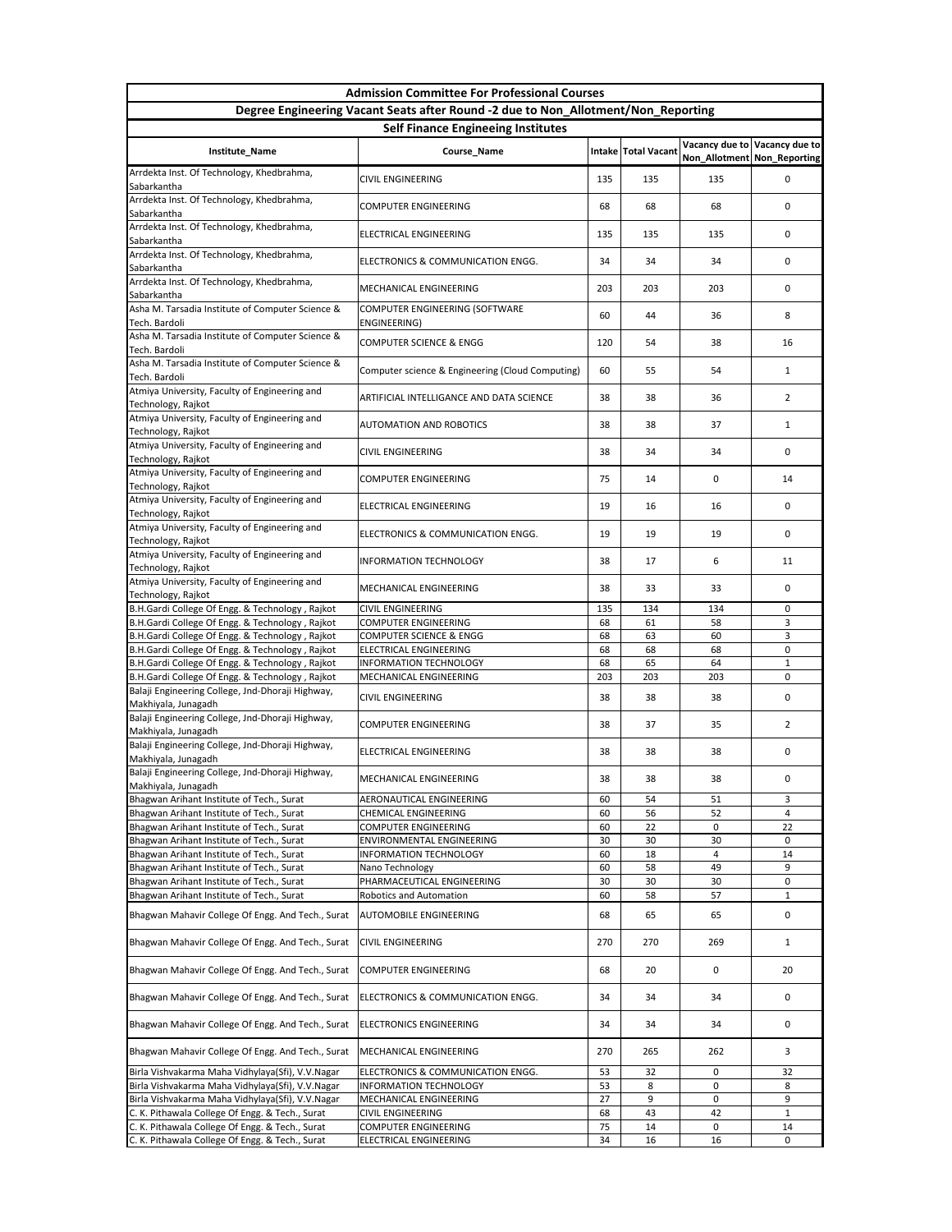|                                                                                                      | <b>Admission Committee For Professional Courses</b>                               |          |                       |                             |                               |  |  |  |
|------------------------------------------------------------------------------------------------------|-----------------------------------------------------------------------------------|----------|-----------------------|-----------------------------|-------------------------------|--|--|--|
|                                                                                                      | Degree Engineering Vacant Seats after Round -2 due to Non_Allotment/Non_Reporting |          |                       |                             |                               |  |  |  |
| <b>Self Finance Engineeing Institutes</b>                                                            |                                                                                   |          |                       |                             |                               |  |  |  |
| Institute_Name                                                                                       | Course_Name                                                                       |          | Intake   Total Vacant | Non_Allotment Non_Reporting | Vacancy due to Vacancy due to |  |  |  |
| Arrdekta Inst. Of Technology, Khedbrahma,<br>Sabarkantha                                             | <b>CIVIL ENGINEERING</b>                                                          | 135      | 135                   | 135                         | 0                             |  |  |  |
| Arrdekta Inst. Of Technology, Khedbrahma,<br>Sabarkantha                                             | <b>COMPUTER ENGINEERING</b>                                                       | 68       | 68                    | 68                          | 0                             |  |  |  |
| Arrdekta Inst. Of Technology, Khedbrahma,<br>Sabarkantha                                             | <b>ELECTRICAL ENGINEERING</b>                                                     | 135      | 135                   | 135                         | $\Omega$                      |  |  |  |
| Arrdekta Inst. Of Technology, Khedbrahma,                                                            | ELECTRONICS & COMMUNICATION ENGG.                                                 | 34       | 34                    | 34                          | 0                             |  |  |  |
| Sabarkantha<br>Arrdekta Inst. Of Technology, Khedbrahma,                                             | MECHANICAL ENGINEERING                                                            | 203      | 203                   | 203                         | 0                             |  |  |  |
| Sabarkantha<br>Asha M. Tarsadia Institute of Computer Science &                                      | COMPUTER ENGINEERING (SOFTWARE                                                    | 60       | 44                    | 36                          | 8                             |  |  |  |
| Tech. Bardoli<br>Asha M. Tarsadia Institute of Computer Science &<br>Tech. Bardoli                   | ENGINEERING)<br><b>COMPUTER SCIENCE &amp; ENGG</b>                                | 120      | 54                    | 38                          | 16                            |  |  |  |
| Asha M. Tarsadia Institute of Computer Science &                                                     | Computer science & Engineering (Cloud Computing)                                  | 60       | 55                    | 54                          | $\mathbf{1}$                  |  |  |  |
| Tech. Bardoli<br>Atmiya University, Faculty of Engineering and                                       | ARTIFICIAL INTELLIGANCE AND DATA SCIENCE                                          | 38       | 38                    | 36                          | $\overline{2}$                |  |  |  |
| Technology, Rajkot<br>Atmiya University, Faculty of Engineering and                                  | <b>AUTOMATION AND ROBOTICS</b>                                                    | 38       | 38                    | 37                          | $\mathbf{1}$                  |  |  |  |
| Technology, Rajkot<br>Atmiya University, Faculty of Engineering and                                  | <b>CIVIL ENGINEERING</b>                                                          | 38       | 34                    | 34                          | 0                             |  |  |  |
| Technology, Rajkot<br>Atmiya University, Faculty of Engineering and                                  |                                                                                   |          |                       |                             |                               |  |  |  |
| Technology, Rajkot<br>Atmiya University, Faculty of Engineering and                                  | <b>COMPUTER ENGINEERING</b>                                                       | 75       | 14                    | 0                           | 14                            |  |  |  |
| Technology, Rajkot<br>Atmiya University, Faculty of Engineering and                                  | ELECTRICAL ENGINEERING                                                            | 19       | 16                    | 16                          | 0                             |  |  |  |
| Technology, Rajkot                                                                                   | ELECTRONICS & COMMUNICATION ENGG.                                                 | 19       | 19                    | 19                          | $\mathbf 0$                   |  |  |  |
| Atmiya University, Faculty of Engineering and<br>Technology, Rajkot                                  | <b>INFORMATION TECHNOLOGY</b>                                                     | 38       | 17                    | 6                           | 11                            |  |  |  |
| Atmiya University, Faculty of Engineering and<br>Technology, Rajkot                                  | MECHANICAL ENGINEERING                                                            | 38       | 33                    | 33                          | 0                             |  |  |  |
| B.H.Gardi College Of Engg. & Technology, Rajkot                                                      | <b>CIVIL ENGINEERING</b>                                                          | 135      | 134                   | 134                         | 0                             |  |  |  |
| B.H.Gardi College Of Engg. & Technology, Rajkot                                                      | <b>COMPUTER ENGINEERING</b>                                                       | 68       | 61                    | 58                          | 3                             |  |  |  |
| B.H.Gardi College Of Engg. & Technology, Rajkot                                                      | <b>COMPUTER SCIENCE &amp; ENGG</b>                                                | 68       | 63                    | 60                          | 3                             |  |  |  |
| B.H.Gardi College Of Engg. & Technology, Rajkot                                                      | <b>ELECTRICAL ENGINEERING</b><br><b>INFORMATION TECHNOLOGY</b>                    | 68<br>68 | 68                    | 68<br>64                    | 0                             |  |  |  |
| B.H.Gardi College Of Engg. & Technology, Rajkot                                                      |                                                                                   | 203      | 65<br>203             | 203                         | 1<br>0                        |  |  |  |
| B.H.Gardi College Of Engg. & Technology, Rajkot                                                      | MECHANICAL ENGINEERING                                                            |          |                       |                             |                               |  |  |  |
| Balaji Engineering College, Jnd-Dhoraji Highway,<br>Makhiyala, Junagadh                              | <b>CIVIL ENGINEERING</b>                                                          | 38       | 38                    | 38                          | 0                             |  |  |  |
| Balaji Engineering College, Jnd-Dhoraji Highway,<br>Makhiyala, Junagadh                              | <b>COMPUTER ENGINEERING</b>                                                       | 38       | 37                    | 35                          | $\overline{2}$                |  |  |  |
| Balaji Engineering College, Jnd-Dhoraji Highway,<br>Makhiyala, Junagadh                              | ELECTRICAL ENGINEERING                                                            | 38       | 38                    | 38                          | 0                             |  |  |  |
| Balaji Engineering College, Jnd-Dhoraji Highway,<br>Makhiyala, Junagadh                              | MECHANICAL ENGINEERING                                                            | 38       | 38                    | 38                          | 0                             |  |  |  |
| Bhagwan Arihant Institute of Tech., Surat                                                            | AERONAUTICAL ENGINEERING                                                          | 60       | 54                    | 51                          | 3                             |  |  |  |
| Bhagwan Arihant Institute of Tech., Surat                                                            | <b>CHEMICAL ENGINEERING</b>                                                       | 60       | 56                    | 52                          | $\overline{4}$                |  |  |  |
| Bhagwan Arihant Institute of Tech., Surat                                                            | <b>COMPUTER ENGINEERING</b>                                                       | 60       | 22                    | 0                           | 22                            |  |  |  |
| Bhagwan Arihant Institute of Tech., Surat                                                            | <b>ENVIRONMENTAL ENGINEERING</b>                                                  | 30       | 30                    | 30                          | 0                             |  |  |  |
| Bhagwan Arihant Institute of Tech., Surat                                                            | <b>INFORMATION TECHNOLOGY</b>                                                     | 60       | 18                    | 4                           | 14                            |  |  |  |
| Bhagwan Arihant Institute of Tech., Surat                                                            | Nano Technology                                                                   | 60       | 58                    | 49                          | 9                             |  |  |  |
| Bhagwan Arihant Institute of Tech., Surat                                                            | PHARMACEUTICAL ENGINEERING                                                        | 30       | 30                    | 30                          | 0                             |  |  |  |
| Bhagwan Arihant Institute of Tech., Surat<br>Bhagwan Mahavir College Of Engg. And Tech., Surat       | <b>Robotics and Automation</b><br><b>AUTOMOBILE ENGINEERING</b>                   | 60<br>68 | 58<br>65              | 57<br>65                    | $\mathbf{1}$<br>0             |  |  |  |
| Bhagwan Mahavir College Of Engg. And Tech., Surat                                                    | <b>CIVIL ENGINEERING</b>                                                          | 270      | 270                   | 269                         | $\mathbf{1}$                  |  |  |  |
| Bhagwan Mahavir College Of Engg. And Tech., Surat                                                    | <b>COMPUTER ENGINEERING</b>                                                       | 68       | 20                    | 0                           | 20                            |  |  |  |
| Bhagwan Mahavir College Of Engg. And Tech., Surat                                                    | ELECTRONICS & COMMUNICATION ENGG.                                                 | 34       | 34                    | 34                          | 0                             |  |  |  |
| Bhagwan Mahavir College Of Engg. And Tech., Surat                                                    | <b>ELECTRONICS ENGINEERING</b>                                                    | 34       | 34                    | 34                          | 0                             |  |  |  |
| Bhagwan Mahavir College Of Engg. And Tech., Surat                                                    | MECHANICAL ENGINEERING                                                            | 270      | 265                   | 262                         | 3                             |  |  |  |
|                                                                                                      |                                                                                   |          |                       |                             |                               |  |  |  |
| Birla Vishvakarma Maha Vidhylaya(Sfi), V.V.Nagar                                                     | ELECTRONICS & COMMUNICATION ENGG.                                                 | 53       | 32                    | 0                           | 32                            |  |  |  |
| Birla Vishvakarma Maha Vidhylaya(Sfi), V.V.Nagar<br>Birla Vishvakarma Maha Vidhylaya(Sfi), V.V.Nagar | <b>INFORMATION TECHNOLOGY</b><br>MECHANICAL ENGINEERING                           | 53<br>27 | 8<br>9                | 0<br>0                      | 8<br>9                        |  |  |  |
| C. K. Pithawala College Of Engg. & Tech., Surat                                                      | <b>CIVIL ENGINEERING</b>                                                          | 68       | 43                    | 42                          | 1                             |  |  |  |
| C. K. Pithawala College Of Engg. & Tech., Surat                                                      | <b>COMPUTER ENGINEERING</b>                                                       | 75       | 14                    | 0                           | 14                            |  |  |  |
| C. K. Pithawala College Of Engg. & Tech., Surat                                                      | ELECTRICAL ENGINEERING                                                            | 34       | 16                    | 16                          | $\mathbf 0$                   |  |  |  |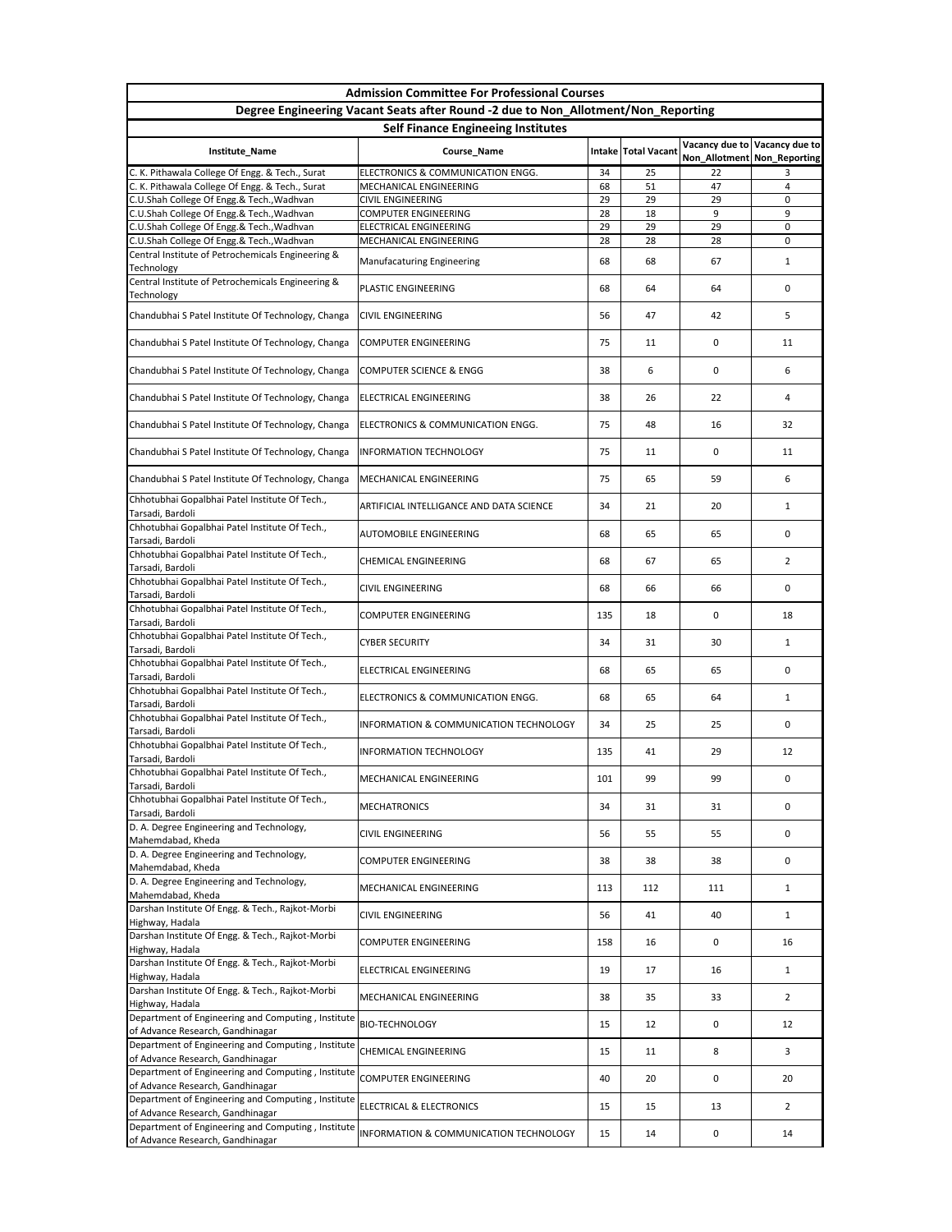| <b>Admission Committee For Professional Courses</b>                                                |                                                             |          |                       |                               |                |  |  |  |
|----------------------------------------------------------------------------------------------------|-------------------------------------------------------------|----------|-----------------------|-------------------------------|----------------|--|--|--|
| Degree Engineering Vacant Seats after Round -2 due to Non_Allotment/Non_Reporting                  |                                                             |          |                       |                               |                |  |  |  |
| <b>Self Finance Engineeing Institutes</b><br>Vacancy due to Vacancy due to                         |                                                             |          |                       |                               |                |  |  |  |
| Institute_Name                                                                                     | Course_Name                                                 |          | Intake   Total Vacant | Non_Allotment   Non_Reporting |                |  |  |  |
| C. K. Pithawala College Of Engg. & Tech., Surat<br>C. K. Pithawala College Of Engg. & Tech., Surat | ELECTRONICS & COMMUNICATION ENGG.<br>MECHANICAL ENGINEERING | 34<br>68 | 25<br>51              | 22<br>47                      | 3.<br>4        |  |  |  |
| C.U.Shah College Of Engg.& Tech., Wadhvan                                                          | <b>CIVIL ENGINEERING</b>                                    | 29       | 29                    | 29                            | 0              |  |  |  |
| C.U.Shah College Of Engg.& Tech., Wadhvan                                                          | <b>COMPUTER ENGINEERING</b>                                 | 28       | 18                    | 9                             | 9              |  |  |  |
| C.U.Shah College Of Engg.& Tech., Wadhvan                                                          | ELECTRICAL ENGINEERING                                      | 29       | 29                    | 29                            | 0              |  |  |  |
| C.U.Shah College Of Engg.& Tech., Wadhvan<br>Central Institute of Petrochemicals Engineering &     | MECHANICAL ENGINEERING                                      | 28       | 28                    | 28                            | 0              |  |  |  |
| Technology                                                                                         | Manufacaturing Engineering                                  | 68       | 68                    | 67                            | $\mathbf{1}$   |  |  |  |
| Central Institute of Petrochemicals Engineering &<br>Technology                                    | PLASTIC ENGINEERING                                         | 68       | 64                    | 64                            | 0              |  |  |  |
| Chandubhai S Patel Institute Of Technology, Changa                                                 | <b>CIVIL ENGINEERING</b>                                    | 56       | 47                    | 42                            | 5.             |  |  |  |
| Chandubhai S Patel Institute Of Technology, Changa                                                 | <b>COMPUTER ENGINEERING</b>                                 | 75       | 11                    | 0                             | 11             |  |  |  |
| Chandubhai S Patel Institute Of Technology, Changa                                                 | <b>COMPUTER SCIENCE &amp; ENGG</b>                          | 38       | 6                     | 0                             | 6              |  |  |  |
| Chandubhai S Patel Institute Of Technology, Changa                                                 | ELECTRICAL ENGINEERING                                      | 38       | 26                    | 22                            | 4              |  |  |  |
| Chandubhai S Patel Institute Of Technology, Changa                                                 | ELECTRONICS & COMMUNICATION ENGG.                           | 75       | 48                    | 16                            | 32             |  |  |  |
| Chandubhai S Patel Institute Of Technology, Changa                                                 | <b>INFORMATION TECHNOLOGY</b>                               | 75       | 11                    | 0                             | 11             |  |  |  |
| Chandubhai S Patel Institute Of Technology, Changa                                                 | MECHANICAL ENGINEERING                                      | 75       | 65                    | 59                            | 6              |  |  |  |
| Chhotubhai Gopalbhai Patel Institute Of Tech.,<br>Tarsadi, Bardoli                                 | ARTIFICIAL INTELLIGANCE AND DATA SCIENCE                    | 34       | 21                    | 20                            |                |  |  |  |
| Chhotubhai Gopalbhai Patel Institute Of Tech.,<br>Tarsadi, Bardoli                                 | <b>AUTOMOBILE ENGINEERING</b>                               | 68       | 65                    | 65                            | 0              |  |  |  |
| Chhotubhai Gopalbhai Patel Institute Of Tech.,<br>Tarsadi, Bardoli                                 | <b>CHEMICAL ENGINEERING</b>                                 | 68       | 67                    | 65                            | $\overline{2}$ |  |  |  |
| Chhotubhai Gopalbhai Patel Institute Of Tech.,<br>Tarsadi, Bardoli                                 | <b>CIVIL ENGINEERING</b>                                    | 68       | 66                    | 66                            | 0              |  |  |  |
| Chhotubhai Gopalbhai Patel Institute Of Tech.,<br>Tarsadi, Bardoli                                 | <b>COMPUTER ENGINEERING</b>                                 | 135      | 18                    | 0                             | 18             |  |  |  |
| Chhotubhai Gopalbhai Patel Institute Of Tech.,<br>Tarsadi, Bardoli                                 | <b>CYBER SECURITY</b>                                       | 34       | 31                    | 30                            | $\mathbf{1}$   |  |  |  |
| Chhotubhai Gopalbhai Patel Institute Of Tech.,<br>Tarsadi, Bardoli                                 | ELECTRICAL ENGINEERING                                      | 68       | 65                    | 65                            | 0              |  |  |  |
| Chhotubhai Gopalbhai Patel Institute Of Tech.,<br>Tarsadi, Bardoli                                 | ELECTRONICS & COMMUNICATION ENGG.                           | 68       | 65                    | 64                            | $\mathbf{1}$   |  |  |  |
| Chhotubhai Gopalbhai Patel Institute Of Tech.,<br>Tarsadi, Bardoli                                 | <b>INFORMATION &amp; COMMUNICATION TECHNOLOGY</b>           | 34       | 25                    | 25                            | 0              |  |  |  |
| Chhotubhai Gopalbhai Patel Institute Of Tech.,<br>Tarsadi, Bardoli                                 | <b>INFORMATION TECHNOLOGY</b>                               | 135      | 41                    | 29                            | 12             |  |  |  |
| Chhotubhai Gopalbhai Patel Institute Of Tech.,<br>Tarsadi, Bardoli                                 | MECHANICAL ENGINEERING                                      | 101      | 99                    | 99                            | 0              |  |  |  |
| Chhotubhai Gopalbhai Patel Institute Of Tech.,<br>Tarsadi, Bardoli                                 | <b>MECHATRONICS</b>                                         | 34       | 31                    | 31                            | 0              |  |  |  |
| D. A. Degree Engineering and Technology,<br>Mahemdabad, Kheda                                      | <b>CIVIL ENGINEERING</b>                                    | 56       | 55                    | 55                            | 0              |  |  |  |
| D. A. Degree Engineering and Technology,<br>Mahemdabad, Kheda                                      | <b>COMPUTER ENGINEERING</b>                                 | 38       | 38                    | 38                            | 0              |  |  |  |
| D. A. Degree Engineering and Technology,<br>Mahemdabad, Kheda                                      | MECHANICAL ENGINEERING                                      | 113      | 112                   | 111                           | $\mathbf{1}$   |  |  |  |
| Darshan Institute Of Engg. & Tech., Rajkot-Morbi<br>Highway, Hadala                                | <b>CIVIL ENGINEERING</b>                                    | 56       | 41                    | 40                            | $\mathbf{1}$   |  |  |  |
| Darshan Institute Of Engg. & Tech., Rajkot-Morbi<br>Highway, Hadala                                | <b>COMPUTER ENGINEERING</b>                                 | 158      | 16                    | 0                             | 16             |  |  |  |
| Darshan Institute Of Engg. & Tech., Rajkot-Morbi<br>Highway, Hadala                                | <b>ELECTRICAL ENGINEERING</b>                               | 19       | 17                    | 16                            | $\mathbf{1}$   |  |  |  |
| Darshan Institute Of Engg. & Tech., Rajkot-Morbi<br>Highway, Hadala                                | MECHANICAL ENGINEERING                                      | 38       | 35                    | 33                            | $2^{\circ}$    |  |  |  |
| Department of Engineering and Computing, Institute<br>of Advance Research, Gandhinagar             | <b>BIO-TECHNOLOGY</b>                                       | 15       | 12                    | 0                             | 12             |  |  |  |
| Department of Engineering and Computing, Institute<br>of Advance Research, Gandhinagar             | <b>CHEMICAL ENGINEERING</b>                                 | 15       | 11                    | 8                             | 3              |  |  |  |
| Department of Engineering and Computing, Institute<br>of Advance Research, Gandhinagar             | <b>COMPUTER ENGINEERING</b>                                 | 40       | 20                    | 0                             | 20             |  |  |  |
| Department of Engineering and Computing, Institute<br>of Advance Research, Gandhinagar             | <b>ELECTRICAL &amp; ELECTRONICS</b>                         | 15       | 15                    | 13                            | $2^{\circ}$    |  |  |  |
| Department of Engineering and Computing, Institute<br>of Advance Research, Gandhinagar             | INFORMATION & COMMUNICATION TECHNOLOGY                      | 15       | 14                    | 0                             | 14             |  |  |  |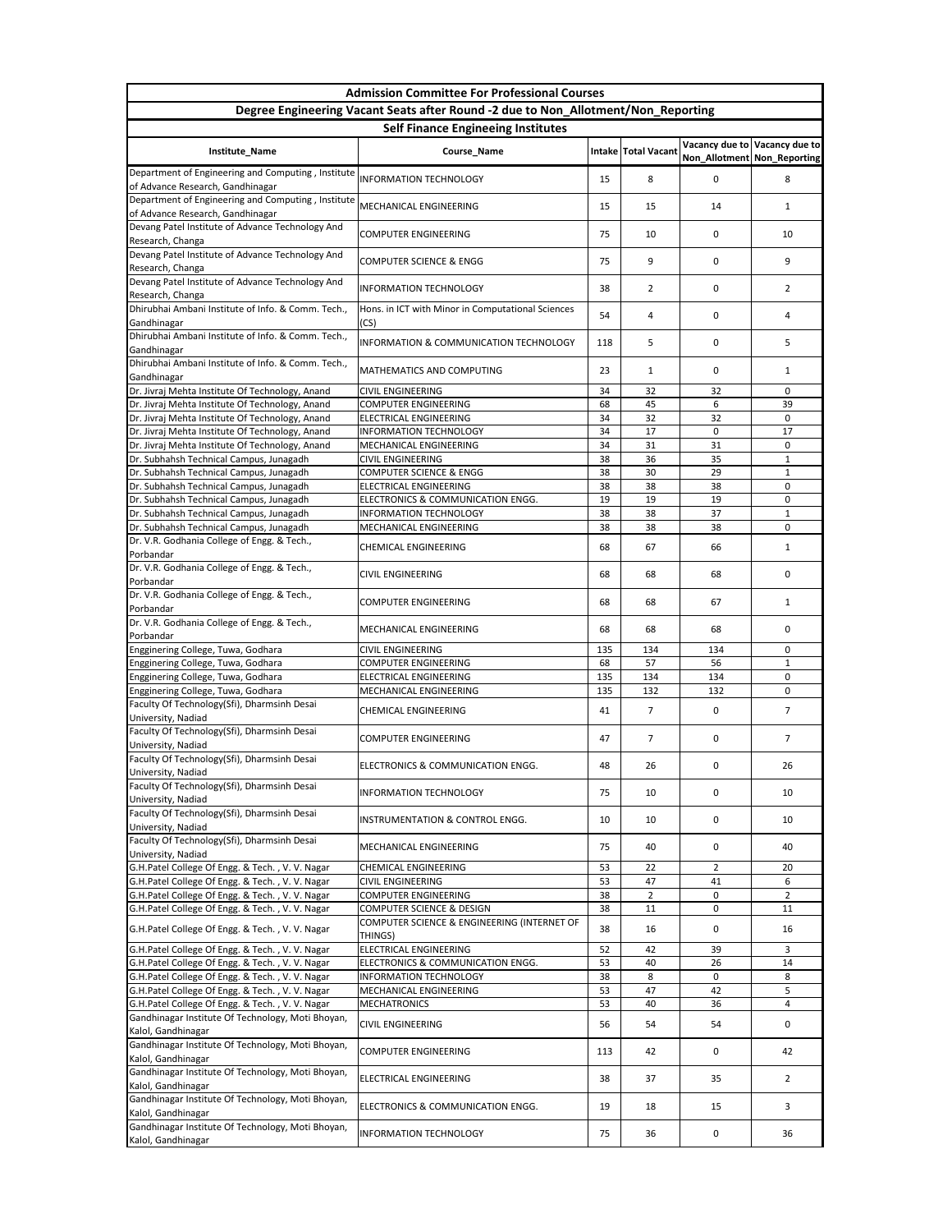| <b>Admission Committee For Professional Courses</b>                                              |                                                                                     |          |                       |                             |                               |  |  |  |
|--------------------------------------------------------------------------------------------------|-------------------------------------------------------------------------------------|----------|-----------------------|-----------------------------|-------------------------------|--|--|--|
|                                                                                                  | Degree Engineering Vacant Seats after Round -2 due to Non_Allotment/Non_Reporting   |          |                       |                             |                               |  |  |  |
| <b>Self Finance Engineeing Institutes</b>                                                        |                                                                                     |          |                       |                             |                               |  |  |  |
| Institute_Name                                                                                   | Course_Name                                                                         |          | Intake   Total Vacant | Non_Allotment Non_Reporting | Vacancy due to Vacancy due to |  |  |  |
| Department of Engineering and Computing, Institute<br>of Advance Research, Gandhinagar           | <b>INFORMATION TECHNOLOGY</b>                                                       | 15       | 8                     | 0                           | 8                             |  |  |  |
| Department of Engineering and Computing, Institute<br>of Advance Research, Gandhinagar           | MECHANICAL ENGINEERING                                                              | 15       | 15                    | 14                          | 1                             |  |  |  |
| Devang Patel Institute of Advance Technology And<br>Research, Changa                             | <b>COMPUTER ENGINEERING</b>                                                         | 75       | 10                    | 0                           | 10                            |  |  |  |
| Devang Patel Institute of Advance Technology And<br>Research, Changa                             | <b>COMPUTER SCIENCE &amp; ENGG</b>                                                  | 75       | 9                     | 0                           | 9                             |  |  |  |
| Devang Patel Institute of Advance Technology And<br>Research, Changa                             | <b>INFORMATION TECHNOLOGY</b>                                                       | 38       | $\overline{2}$        | 0                           | $\overline{2}$                |  |  |  |
| Dhirubhai Ambani Institute of Info. & Comm. Tech.,<br>Gandhinagar                                | Hons. in ICT with Minor in Computational Sciences<br>(CS)                           | 54       | 4                     | 0                           | 4                             |  |  |  |
| Dhirubhai Ambani Institute of Info. & Comm. Tech.,<br>Gandhinagar                                | <b>INFORMATION &amp; COMMUNICATION TECHNOLOGY</b>                                   | 118      | 5                     | 0                           | 5                             |  |  |  |
| Dhirubhai Ambani Institute of Info. & Comm. Tech.,<br>Gandhinagar                                | MATHEMATICS AND COMPUTING                                                           | 23       | 1                     | 0                           | 1                             |  |  |  |
| Dr. Jivraj Mehta Institute Of Technology, Anand                                                  | <b>CIVIL ENGINEERING</b>                                                            | 34       | 32                    | 32                          | $\mathbf{0}$                  |  |  |  |
| Dr. Jivraj Mehta Institute Of Technology, Anand                                                  | <b>COMPUTER ENGINEERING</b>                                                         | 68       | 45                    | 6                           | 39                            |  |  |  |
| Dr. Jivraj Mehta Institute Of Technology, Anand                                                  | ELECTRICAL ENGINEERING                                                              | 34       | 32                    | 32                          | $\mathbf{0}$                  |  |  |  |
| Dr. Jivraj Mehta Institute Of Technology, Anand                                                  | <b>INFORMATION TECHNOLOGY</b>                                                       | 34       | 17                    | 0                           | 17                            |  |  |  |
| Dr. Jivraj Mehta Institute Of Technology, Anand<br>Dr. Subhahsh Technical Campus, Junagadh       | MECHANICAL ENGINEERING<br><b>CIVIL ENGINEERING</b>                                  | 34<br>38 | 31<br>36              | 31<br>35                    | 0<br>1                        |  |  |  |
| Dr. Subhahsh Technical Campus, Junagadh                                                          | <b>COMPUTER SCIENCE &amp; ENGG</b>                                                  | 38       | 30                    | 29                          | $\mathbf{1}$                  |  |  |  |
| Dr. Subhahsh Technical Campus, Junagadh                                                          | <b>ELECTRICAL ENGINEERING</b>                                                       | 38       | 38                    | 38                          | 0                             |  |  |  |
| Dr. Subhahsh Technical Campus, Junagadh                                                          | ELECTRONICS & COMMUNICATION ENGG.                                                   | 19       | 19                    | 19                          | 0                             |  |  |  |
| Dr. Subhahsh Technical Campus, Junagadh                                                          | <b>INFORMATION TECHNOLOGY</b>                                                       | 38       | 38                    | 37                          | $\mathbf{1}$                  |  |  |  |
| Dr. Subhahsh Technical Campus, Junagadh                                                          | MECHANICAL ENGINEERING                                                              | 38       | 38                    | 38                          | $\Omega$                      |  |  |  |
| Dr. V.R. Godhania College of Engg. & Tech.,<br>Porbandar                                         | <b>CHEMICAL ENGINEERING</b>                                                         | 68       | 67                    | 66                          | 1                             |  |  |  |
| Dr. V.R. Godhania College of Engg. & Tech.,<br>Porbandar                                         | <b>CIVIL ENGINEERING</b>                                                            | 68       | 68                    | 68                          | $\Omega$                      |  |  |  |
| Dr. V.R. Godhania College of Engg. & Tech.,<br>Porbandar                                         | <b>COMPUTER ENGINEERING</b>                                                         | 68       | 68                    | 67                          | $\mathbf{1}$                  |  |  |  |
| Dr. V.R. Godhania College of Engg. & Tech.,<br>Porbandar                                         | MECHANICAL ENGINEERING                                                              | 68       | 68                    | 68                          | $\mathbf{0}$                  |  |  |  |
| Engginering College, Tuwa, Godhara                                                               | <b>CIVIL ENGINEERING</b>                                                            | 135      | 134                   | 134                         | $\mathbf{0}$                  |  |  |  |
| Engginering College, Tuwa, Godhara                                                               | <b>COMPUTER ENGINEERING</b>                                                         | 68       | 57                    | 56                          | $\mathbf{1}$                  |  |  |  |
| Engginering College, Tuwa, Godhara                                                               | ELECTRICAL ENGINEERING                                                              | 135      | 134                   | 134                         | $\mathbf 0$                   |  |  |  |
| Engginering College, Tuwa, Godhara                                                               | MECHANICAL ENGINEERING                                                              | 135      | 132                   | 132                         | $\mathbf 0$                   |  |  |  |
| Faculty Of Technology(Sfi), Dharmsinh Desai<br>University, Nadiad                                | <b>CHEMICAL ENGINEERING</b>                                                         | 41       | 7                     | 0                           | $\overline{7}$                |  |  |  |
| Faculty Of Technology(Sfi), Dharmsinh Desai<br>University, Nadiad                                | <b>COMPUTER ENGINEERING</b>                                                         | 47       | 7                     | 0                           | $\overline{7}$                |  |  |  |
| Faculty Of Technology(Sfi), Dharmsinh Desai<br>University, Nadiad                                | ELECTRONICS & COMMUNICATION ENGG.                                                   | 48       | 26                    | 0                           | 26                            |  |  |  |
| Faculty Of Technology(Sfi), Dharmsinh Desai<br>University, Nadiad                                | <b>INFORMATION TECHNOLOGY</b>                                                       | 75       | 10                    | 0                           | 10                            |  |  |  |
| Faculty Of Technology(Sfi), Dharmsinh Desai<br>University, Nadiad                                | <b>INSTRUMENTATION &amp; CONTROL ENGG.</b>                                          | 10       | 10                    | 0                           | 10                            |  |  |  |
| Faculty Of Technology(Sfi), Dharmsinh Desai<br>University, Nadiad                                | MECHANICAL ENGINEERING                                                              | 75       | 40                    | 0                           | 40                            |  |  |  |
| G.H.Patel College Of Engg. & Tech., V.V. Nagar                                                   | <b>CHEMICAL ENGINEERING</b>                                                         | 53       | 22                    | $\overline{2}$              | 20                            |  |  |  |
| G.H.Patel College Of Engg. & Tech., V.V. Nagar                                                   | <b>CIVIL ENGINEERING</b>                                                            | 53       | 47                    | 41                          | 6                             |  |  |  |
| G.H.Patel College Of Engg. & Tech., V.V. Nagar                                                   | <b>COMPUTER ENGINEERING</b>                                                         | 38       | $\overline{2}$        | 0                           | $\overline{2}$                |  |  |  |
| G.H.Patel College Of Engg. & Tech., V.V. Nagar<br>G.H.Patel College Of Engg. & Tech., V.V. Nagar | <b>COMPUTER SCIENCE &amp; DESIGN</b><br>COMPUTER SCIENCE & ENGINEERING (INTERNET OF | 38<br>38 | 11<br>16              | 0<br>0                      | 11<br>16                      |  |  |  |
|                                                                                                  | THINGS)                                                                             |          |                       |                             |                               |  |  |  |
| G.H.Patel College Of Engg. & Tech., V.V. Nagar                                                   | <b>ELECTRICAL ENGINEERING</b><br>ELECTRONICS & COMMUNICATION ENGG.                  | 52<br>53 | 42<br>40              | 39<br>26                    | 3<br>14                       |  |  |  |
| G.H.Patel College Of Engg. & Tech., V.V. Nagar<br>G.H.Patel College Of Engg. & Tech., V.V. Nagar | <b>INFORMATION TECHNOLOGY</b>                                                       | 38       | 8                     | 0                           | 8                             |  |  |  |
| G.H.Patel College Of Engg. & Tech., V.V. Nagar                                                   | MECHANICAL ENGINEERING                                                              | 53       | 47                    | 42                          | 5                             |  |  |  |
| G.H.Patel College Of Engg. & Tech., V.V. Nagar                                                   | <b>MECHATRONICS</b>                                                                 | 53       | 40                    | 36                          | 4                             |  |  |  |
| Gandhinagar Institute Of Technology, Moti Bhoyan,<br>Kalol, Gandhinagar                          | <b>CIVIL ENGINEERING</b>                                                            | 56       | 54                    | 54                          | 0                             |  |  |  |
| Gandhinagar Institute Of Technology, Moti Bhoyan,<br>Kalol, Gandhinagar                          | <b>COMPUTER ENGINEERING</b>                                                         | 113      | 42                    | 0                           | 42                            |  |  |  |
| Gandhinagar Institute Of Technology, Moti Bhoyan,<br>Kalol, Gandhinagar                          | <b>ELECTRICAL ENGINEERING</b>                                                       | 38       | 37                    | 35                          | $\overline{2}$                |  |  |  |
| Gandhinagar Institute Of Technology, Moti Bhoyan,<br>Kalol, Gandhinagar                          | ELECTRONICS & COMMUNICATION ENGG.                                                   | 19       | 18                    | 15                          | 3                             |  |  |  |
| Gandhinagar Institute Of Technology, Moti Bhoyan,<br>Kalol, Gandhinagar                          | <b>INFORMATION TECHNOLOGY</b>                                                       | 75       | 36                    | 0                           | 36                            |  |  |  |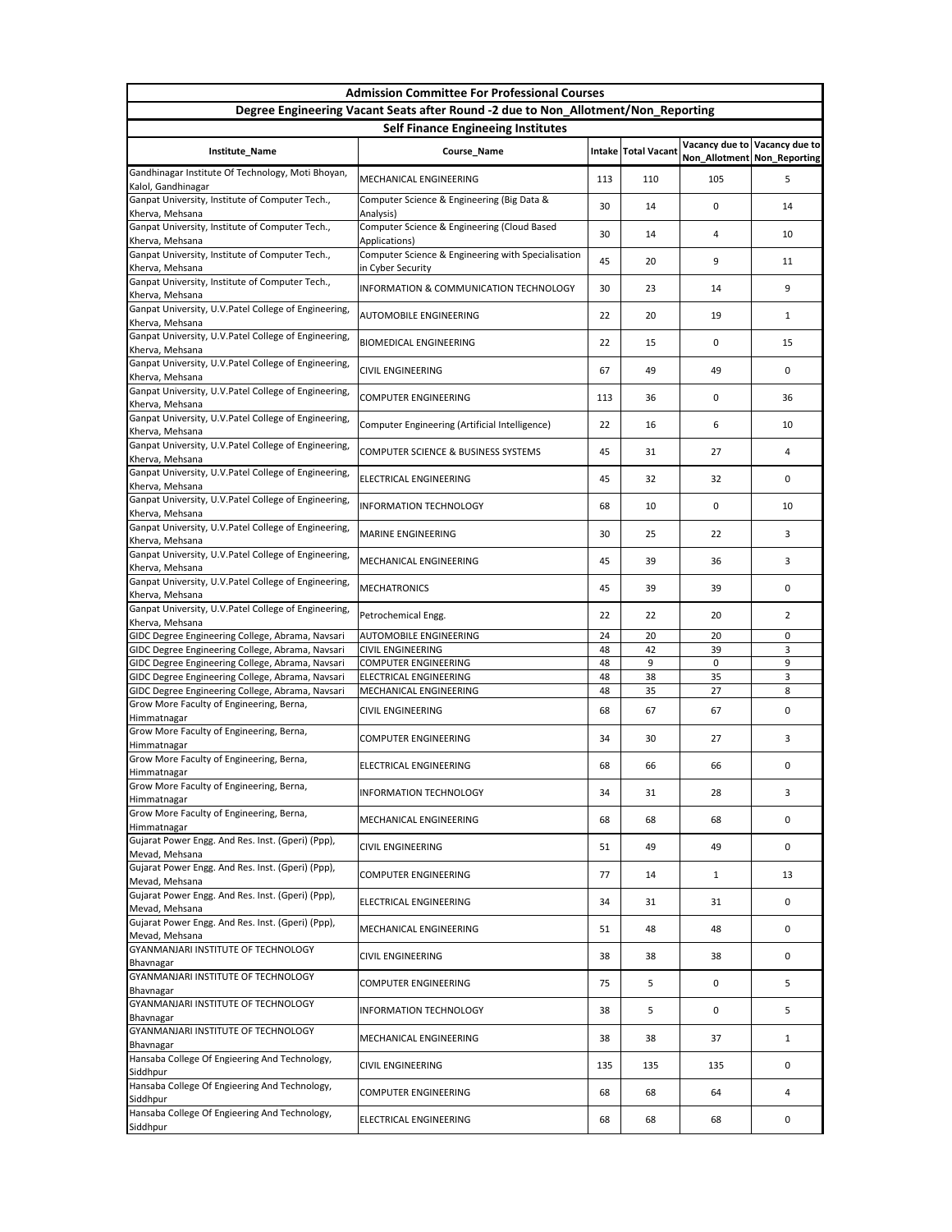| <b>Admission Committee For Professional Courses</b>                                                  |                                                                         |          |                     |              |                                                              |  |  |  |
|------------------------------------------------------------------------------------------------------|-------------------------------------------------------------------------|----------|---------------------|--------------|--------------------------------------------------------------|--|--|--|
| Degree Engineering Vacant Seats after Round -2 due to Non_Allotment/Non_Reporting                    |                                                                         |          |                     |              |                                                              |  |  |  |
| <b>Self Finance Engineeing Institutes</b>                                                            |                                                                         |          |                     |              |                                                              |  |  |  |
| Institute_Name                                                                                       | Course_Name                                                             |          | Intake Total Vacant |              | Vacancy due to Vacancy due to<br>Non_Allotment Non_Reporting |  |  |  |
| Gandhinagar Institute Of Technology, Moti Bhoyan,<br>Kalol, Gandhinagar                              | MECHANICAL ENGINEERING                                                  | 113      | 110                 | 105          | 5                                                            |  |  |  |
| Ganpat University, Institute of Computer Tech.,<br>Kherva, Mehsana                                   | Computer Science & Engineering (Big Data &<br>Analysis)                 | 30       | 14                  | 0            | 14                                                           |  |  |  |
| Ganpat University, Institute of Computer Tech.,<br>Kherva, Mehsana                                   | Computer Science & Engineering (Cloud Based<br>Applications)            | 30       | 14                  | 4            | 10                                                           |  |  |  |
| Ganpat University, Institute of Computer Tech.,<br>Kherva, Mehsana                                   | Computer Science & Engineering with Specialisation<br>in Cyber Security | 45       | 20                  | 9            | 11                                                           |  |  |  |
| Ganpat University, Institute of Computer Tech.,                                                      | <b>INFORMATION &amp; COMMUNICATION TECHNOLOGY</b>                       | 30       | 23                  | 14           | 9                                                            |  |  |  |
| Kherva, Mehsana<br>Ganpat University, U.V. Patel College of Engineering,                             | <b>AUTOMOBILE ENGINEERING</b>                                           | 22       | 20                  | 19           | 1                                                            |  |  |  |
| Kherva, Mehsana<br>Ganpat University, U.V.Patel College of Engineering,                              | <b>BIOMEDICAL ENGINEERING</b>                                           | 22       | 15                  | 0            | 15                                                           |  |  |  |
| Kherva, Mehsana<br>Ganpat University, U.V. Patel College of Engineering,                             | <b>CIVIL ENGINEERING</b>                                                | 67       | 49                  | 49           | 0                                                            |  |  |  |
| Kherva, Mehsana<br>Ganpat University, U.V. Patel College of Engineering,                             | <b>COMPUTER ENGINEERING</b>                                             | 113      | 36                  | 0            | 36                                                           |  |  |  |
| Kherva, Mehsana<br>Ganpat University, U.V.Patel College of Engineering,                              |                                                                         |          |                     |              |                                                              |  |  |  |
| Kherva, Mehsana<br>Ganpat University, U.V.Patel College of Engineering,                              | Computer Engineering (Artificial Intelligence)                          | 22       | 16                  | 6            | 10                                                           |  |  |  |
| Kherva, Mehsana<br>Ganpat University, U.V.Patel College of Engineering,                              | COMPUTER SCIENCE & BUSINESS SYSTEMS                                     | 45       | 31                  | 27           | 4                                                            |  |  |  |
| Kherva, Mehsana                                                                                      | <b>ELECTRICAL ENGINEERING</b>                                           | 45       | 32                  | 32           | 0                                                            |  |  |  |
| Ganpat University, U.V.Patel College of Engineering,<br>Kherva, Mehsana                              | INFORMATION TECHNOLOGY                                                  | 68       | 10                  | 0            | 10                                                           |  |  |  |
| Ganpat University, U.V. Patel College of Engineering,<br>Kherva, Mehsana                             | <b>MARINE ENGINEERING</b>                                               | 30       | 25                  | 22           | 3                                                            |  |  |  |
| Ganpat University, U.V. Patel College of Engineering,<br>Kherva, Mehsana                             | MECHANICAL ENGINEERING                                                  | 45       | 39                  | 36           | 3                                                            |  |  |  |
| Ganpat University, U.V. Patel College of Engineering,<br>Kherva, Mehsana                             | <b>MECHATRONICS</b>                                                     | 45       | 39                  | 39           | 0                                                            |  |  |  |
| Ganpat University, U.V. Patel College of Engineering,<br>Kherva, Mehsana                             | Petrochemical Engg.                                                     | 22       | 22                  | 20           | $\overline{2}$                                               |  |  |  |
| GIDC Degree Engineering College, Abrama, Navsari                                                     | <b>AUTOMOBILE ENGINEERING</b><br><b>CIVIL ENGINEERING</b>               | 24       | 20                  | 20<br>39     | 0<br>3                                                       |  |  |  |
| GIDC Degree Engineering College, Abrama, Navsari<br>GIDC Degree Engineering College, Abrama, Navsari | <b>COMPUTER ENGINEERING</b>                                             | 48<br>48 | 42<br>9             | 0            | 9                                                            |  |  |  |
| GIDC Degree Engineering College, Abrama, Navsari                                                     | <b>ELECTRICAL ENGINEERING</b>                                           | 48       | 38                  | 35           | 3                                                            |  |  |  |
| GIDC Degree Engineering College, Abrama, Navsari                                                     | MECHANICAL ENGINEERING                                                  | 48       | 35                  | 27           | 8                                                            |  |  |  |
| Grow More Faculty of Engineering, Berna,<br>Himmatnagar                                              | <b>CIVIL ENGINEERING</b>                                                | 68       | 67                  | 67           | 0                                                            |  |  |  |
| Grow More Faculty of Engineering, Berna,<br>Himmatnagar                                              | <b>COMPUTER ENGINEERING</b>                                             | 34       | 30                  | 27           | 3                                                            |  |  |  |
| Grow More Faculty of Engineering, Berna,<br>Himmatnagar                                              | ELECTRICAL ENGINEERING                                                  | 68       | 66                  | 66           | 0                                                            |  |  |  |
| Grow More Faculty of Engineering, Berna,                                                             | <b>INFORMATION TECHNOLOGY</b>                                           | 34       | 31                  | 28           | 3                                                            |  |  |  |
| Himmatnagar<br>Grow More Faculty of Engineering, Berna,                                              |                                                                         |          |                     |              |                                                              |  |  |  |
| Himmatnagar<br>Gujarat Power Engg. And Res. Inst. (Gperi) (Ppp),                                     | MECHANICAL ENGINEERING                                                  | 68       | 68                  | 68           | 0                                                            |  |  |  |
| Mevad, Mehsana<br>Gujarat Power Engg. And Res. Inst. (Gperi) (Ppp),                                  | <b>CIVIL ENGINEERING</b>                                                | 51       | 49                  | 49           | 0                                                            |  |  |  |
| Mevad, Mehsana                                                                                       | <b>COMPUTER ENGINEERING</b>                                             | 77       | 14                  | $\mathbf{1}$ | 13                                                           |  |  |  |
| Gujarat Power Engg. And Res. Inst. (Gperi) (Ppp),<br>Mevad, Mehsana                                  | ELECTRICAL ENGINEERING                                                  | 34       | 31                  | 31           | 0                                                            |  |  |  |
| Gujarat Power Engg. And Res. Inst. (Gperi) (Ppp),<br>Mevad, Mehsana                                  | MECHANICAL ENGINEERING                                                  | 51       | 48                  | 48           | 0                                                            |  |  |  |
| GYANMANJARI INSTITUTE OF TECHNOLOGY<br>Bhavnagar                                                     | <b>CIVIL ENGINEERING</b>                                                | 38       | 38                  | 38           | 0                                                            |  |  |  |
| <b>GYANMANJARI INSTITUTE OF TECHNOLOGY</b><br>Bhavnagar                                              | <b>COMPUTER ENGINEERING</b>                                             | 75       | 5                   | 0            | 5.                                                           |  |  |  |
| GYANMANJARI INSTITUTE OF TECHNOLOGY                                                                  | <b>INFORMATION TECHNOLOGY</b>                                           | 38       | 5                   | 0            | 5                                                            |  |  |  |
| Bhavnagar<br><b>GYANMANJARI INSTITUTE OF TECHNOLOGY</b>                                              | MECHANICAL ENGINEERING                                                  | 38       | 38                  | 37           | 1                                                            |  |  |  |
| Bhavnagar<br>Hansaba College Of Engieering And Technology,                                           | <b>CIVIL ENGINEERING</b>                                                | 135      | 135                 | 135          | 0                                                            |  |  |  |
| Siddhpur<br>Hansaba College Of Engieering And Technology,                                            | <b>COMPUTER ENGINEERING</b>                                             | 68       | 68                  | 64           | 4                                                            |  |  |  |
| Siddhpur<br>Hansaba College Of Engieering And Technology,                                            | ELECTRICAL ENGINEERING                                                  | 68       | 68                  | 68           | 0                                                            |  |  |  |
| Siddhpur                                                                                             |                                                                         |          |                     |              |                                                              |  |  |  |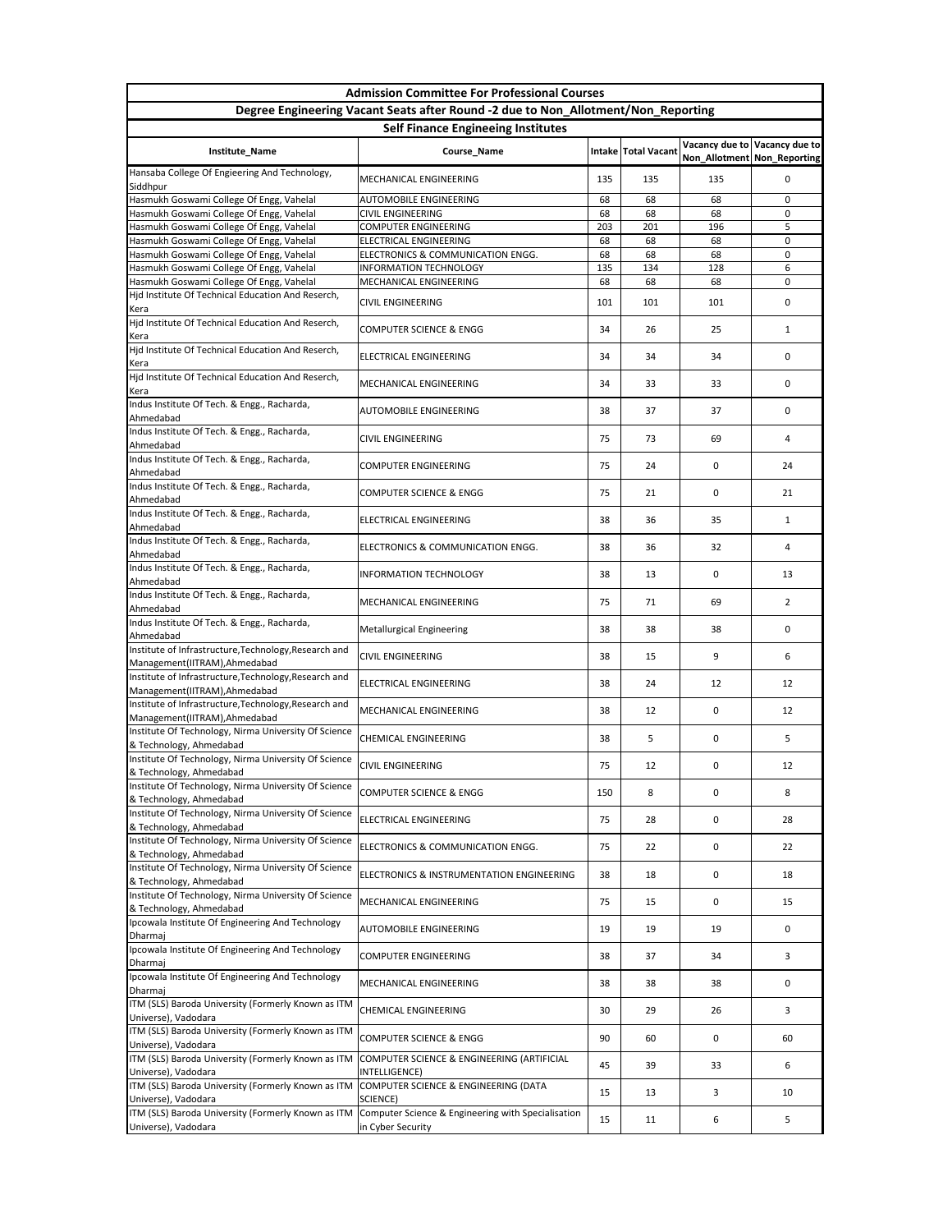| <b>Admission Committee For Professional Courses</b>                                    |                                                                         |           |                     |                               |                               |  |  |  |
|----------------------------------------------------------------------------------------|-------------------------------------------------------------------------|-----------|---------------------|-------------------------------|-------------------------------|--|--|--|
| Degree Engineering Vacant Seats after Round -2 due to Non_Allotment/Non_Reporting      |                                                                         |           |                     |                               |                               |  |  |  |
| <b>Self Finance Engineeing Institutes</b>                                              |                                                                         |           |                     |                               |                               |  |  |  |
| Institute_Name                                                                         | Course_Name                                                             |           | Intake Total Vacant | Non_Allotment   Non_Reporting | Vacancy due to Vacancy due to |  |  |  |
| Hansaba College Of Engieering And Technology,<br>Siddhpur                              | MECHANICAL ENGINEERING                                                  | 135       | 135                 | 135                           | 0                             |  |  |  |
| Hasmukh Goswami College Of Engg, Vahelal                                               | <b>AUTOMOBILE ENGINEERING</b>                                           | 68        | 68                  | 68                            | $\Omega$                      |  |  |  |
| Hasmukh Goswami College Of Engg, Vahelal<br>Hasmukh Goswami College Of Engg, Vahelal   | <b>CIVIL ENGINEERING</b><br><b>COMPUTER ENGINEERING</b>                 | 68<br>203 | 68<br>201           | 68<br>196                     | 0<br>5                        |  |  |  |
| Hasmukh Goswami College Of Engg, Vahelal                                               | ELECTRICAL ENGINEERING                                                  | 68        | 68                  | 68                            | 0                             |  |  |  |
| Hasmukh Goswami College Of Engg, Vahelal                                               | ELECTRONICS & COMMUNICATION ENGG.                                       | 68        | 68                  | 68                            | 0                             |  |  |  |
| Hasmukh Goswami College Of Engg, Vahelal                                               | <b>INFORMATION TECHNOLOGY</b>                                           | 135       | 134                 | 128                           | 6                             |  |  |  |
| Hasmukh Goswami College Of Engg, Vahelal                                               | MECHANICAL ENGINEERING                                                  | 68        | 68                  | 68                            | 0                             |  |  |  |
| Hjd Institute Of Technical Education And Reserch,<br>Kera                              | <b>CIVIL ENGINEERING</b>                                                | 101       | 101                 | 101                           | 0                             |  |  |  |
| Hjd Institute Of Technical Education And Reserch,<br>Kera                              | <b>COMPUTER SCIENCE &amp; ENGG</b>                                      | 34        | 26                  | 25                            | $\mathbf{1}$                  |  |  |  |
| Hjd Institute Of Technical Education And Reserch,<br>Kera                              | <b>ELECTRICAL ENGINEERING</b>                                           | 34        | 34                  | 34                            | 0                             |  |  |  |
| Hjd Institute Of Technical Education And Reserch,<br>Kera                              | MECHANICAL ENGINEERING                                                  | 34        | 33                  | 33                            | 0                             |  |  |  |
| Indus Institute Of Tech. & Engg., Racharda,<br>Ahmedabad                               | <b>AUTOMOBILE ENGINEERING</b>                                           | 38        | 37                  | 37                            | 0                             |  |  |  |
| Indus Institute Of Tech. & Engg., Racharda,<br>Ahmedabad                               | <b>CIVIL ENGINEERING</b>                                                | 75        | 73                  | 69                            | 4                             |  |  |  |
| Indus Institute Of Tech. & Engg., Racharda,<br>Ahmedabad                               | <b>COMPUTER ENGINEERING</b>                                             | 75        | 24                  | 0                             | 24                            |  |  |  |
| Indus Institute Of Tech. & Engg., Racharda,<br>Ahmedabad                               | <b>COMPUTER SCIENCE &amp; ENGG</b>                                      | 75        | 21                  | 0                             | 21                            |  |  |  |
| Indus Institute Of Tech. & Engg., Racharda,<br>Ahmedabad                               | <b>ELECTRICAL ENGINEERING</b>                                           | 38        | 36                  | 35                            | $\mathbf{1}$                  |  |  |  |
| Indus Institute Of Tech. & Engg., Racharda,<br>Ahmedabad                               | ELECTRONICS & COMMUNICATION ENGG.                                       | 38        | 36                  | 32                            | 4                             |  |  |  |
| Indus Institute Of Tech. & Engg., Racharda,                                            | <b>INFORMATION TECHNOLOGY</b>                                           | 38        | 13                  | 0                             | 13                            |  |  |  |
| Ahmedabad<br>Indus Institute Of Tech. & Engg., Racharda,                               | MECHANICAL ENGINEERING                                                  | 75        | 71                  | 69                            | $\overline{2}$                |  |  |  |
| Ahmedabad<br>Indus Institute Of Tech. & Engg., Racharda,                               | <b>Metallurgical Engineering</b>                                        | 38        | 38                  | 38                            | $\Omega$                      |  |  |  |
| Ahmedabad<br>Institute of Infrastructure, Technology, Research and                     | <b>CIVIL ENGINEERING</b>                                                | 38        | 15                  | 9                             | 6                             |  |  |  |
| Management(IITRAM), Ahmedabad<br>Institute of Infrastructure, Technology, Research and | <b>ELECTRICAL ENGINEERING</b>                                           | 38        | 24                  | 12                            | 12                            |  |  |  |
| Management(IITRAM), Ahmedabad<br>Institute of Infrastructure, Technology, Research and | <b>MECHANICAL ENGINEERING</b>                                           | 38        | 12                  | 0                             | 12                            |  |  |  |
| Management(IITRAM), Ahmedabad<br>Institute Of Technology, Nirma University Of Science  |                                                                         |           |                     |                               |                               |  |  |  |
| & Technology, Ahmedabad<br>Institute Of Technology, Nirma University Of Science        | <b>CHEMICAL ENGINEERING</b>                                             | 38        | 5                   | 0                             | 5                             |  |  |  |
| & Technology, Ahmedabad<br>Institute Of Technology, Nirma University Of Science        | <b>CIVIL ENGINEERING</b>                                                | 75        | 12                  | 0                             | 12                            |  |  |  |
| & Technology, Ahmedabad<br>Institute Of Technology, Nirma University Of Science        | <b>COMPUTER SCIENCE &amp; ENGG</b>                                      | 150       | 8                   | 0                             | 8                             |  |  |  |
| & Technology, Ahmedabad                                                                | <b>ELECTRICAL ENGINEERING</b>                                           | 75        | 28                  | 0                             | 28                            |  |  |  |
| Institute Of Technology, Nirma University Of Science<br>& Technology, Ahmedabad        | ELECTRONICS & COMMUNICATION ENGG.                                       | 75        | 22                  | 0                             | 22                            |  |  |  |
| Institute Of Technology, Nirma University Of Science<br>& Technology, Ahmedabad        | ELECTRONICS & INSTRUMENTATION ENGINEERING                               | 38        | 18                  | 0                             | 18                            |  |  |  |
| Institute Of Technology, Nirma University Of Science<br>& Technology, Ahmedabad        | MECHANICAL ENGINEERING                                                  | 75        | 15                  | 0                             | 15                            |  |  |  |
| Ipcowala Institute Of Engineering And Technology<br><b>Dharmaj</b>                     | <b>AUTOMOBILE ENGINEERING</b>                                           | 19        | 19                  | 19                            | 0                             |  |  |  |
| Ipcowala Institute Of Engineering And Technology<br>Dharmaj                            | <b>COMPUTER ENGINEERING</b>                                             | 38        | 37                  | 34                            | 3                             |  |  |  |
| Ipcowala Institute Of Engineering And Technology<br>Dharmaj                            | MECHANICAL ENGINEERING                                                  | 38        | 38                  | 38                            | 0                             |  |  |  |
| ITM (SLS) Baroda University (Formerly Known as ITM<br>Universe), Vadodara              | <b>CHEMICAL ENGINEERING</b>                                             | 30        | 29                  | 26                            | 3                             |  |  |  |
| ITM (SLS) Baroda University (Formerly Known as ITM<br>Universe), Vadodara              | <b>COMPUTER SCIENCE &amp; ENGG</b>                                      | 90        | 60                  | 0                             | 60                            |  |  |  |
| ITM (SLS) Baroda University (Formerly Known as ITM<br>Universe), Vadodara              | COMPUTER SCIENCE & ENGINEERING (ARTIFICIAL<br>INTELLIGENCE)             | 45        | 39                  | 33                            | 6                             |  |  |  |
| ITM (SLS) Baroda University (Formerly Known as ITM<br>Universe), Vadodara              | COMPUTER SCIENCE & ENGINEERING (DATA<br>SCIENCE)                        | 15        | 13                  | 3                             | 10                            |  |  |  |
| ITM (SLS) Baroda University (Formerly Known as ITM<br>Universe), Vadodara              | Computer Science & Engineering with Specialisation<br>in Cyber Security | 15        | 11                  | 6                             | 5                             |  |  |  |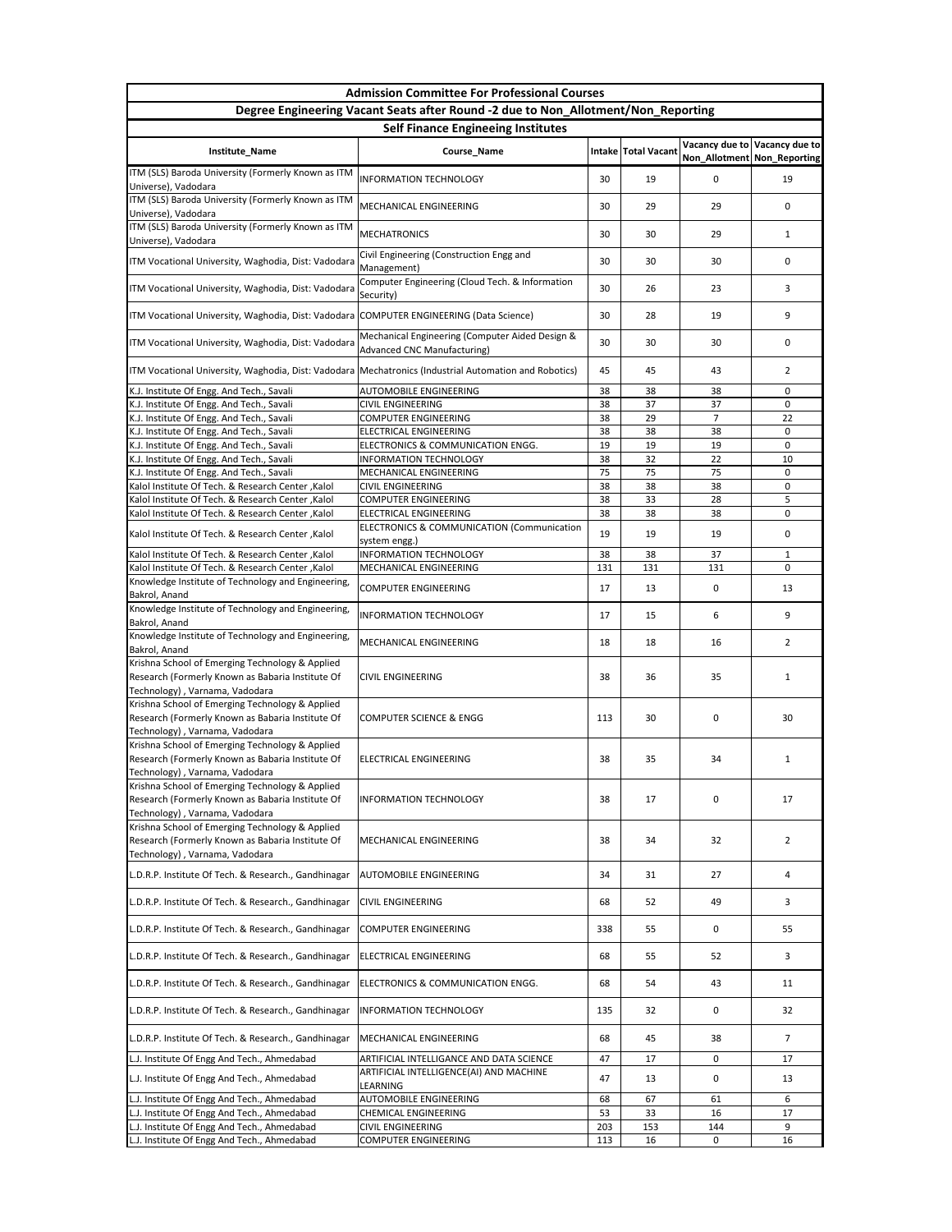| <b>Admission Committee For Professional Courses</b>                                                                                   |                                                                                       |     |                     |                             |                               |  |  |  |
|---------------------------------------------------------------------------------------------------------------------------------------|---------------------------------------------------------------------------------------|-----|---------------------|-----------------------------|-------------------------------|--|--|--|
|                                                                                                                                       | Degree Engineering Vacant Seats after Round -2 due to Non_Allotment/Non_Reporting     |     |                     |                             |                               |  |  |  |
| <b>Self Finance Engineeing Institutes</b>                                                                                             |                                                                                       |     |                     |                             |                               |  |  |  |
| Institute_Name                                                                                                                        | Course_Name                                                                           |     | Intake Total Vacant | Non_Allotment Non_Reporting | Vacancy due to Vacancy due to |  |  |  |
| ITM (SLS) Baroda University (Formerly Known as ITM<br>Universe), Vadodara                                                             | <b>INFORMATION TECHNOLOGY</b>                                                         | 30  | 19                  | 0                           | 19                            |  |  |  |
| ITM (SLS) Baroda University (Formerly Known as ITM<br>Universe), Vadodara                                                             | MECHANICAL ENGINEERING                                                                | 30  | 29                  | 29                          | 0                             |  |  |  |
| ITM (SLS) Baroda University (Formerly Known as ITM<br>Universe), Vadodara                                                             | <b>MECHATRONICS</b>                                                                   | 30  | 30                  | 29                          | 1                             |  |  |  |
| ITM Vocational University, Waghodia, Dist: Vadodara                                                                                   | Civil Engineering (Construction Engg and<br>Management)                               | 30  | 30                  | 30                          | 0                             |  |  |  |
| ITM Vocational University, Waghodia, Dist: Vadodara                                                                                   | Computer Engineering (Cloud Tech. & Information<br>Security)                          | 30  | 26                  | 23                          | 3                             |  |  |  |
| ITM Vocational University, Waghodia, Dist: Vadodara COMPUTER ENGINEERING (Data Science)                                               |                                                                                       | 30  | 28                  | 19                          | 9                             |  |  |  |
| ITM Vocational University, Waghodia, Dist: Vadodara                                                                                   | Mechanical Engineering (Computer Aided Design &<br><b>Advanced CNC Manufacturing)</b> | 30  | 30                  | 30                          | 0                             |  |  |  |
| ITM Vocational University, Waghodia, Dist: Vadodara   Mechatronics (Industrial Automation and Robotics)                               |                                                                                       | 45  | 45                  | 43                          | $\overline{2}$                |  |  |  |
| K.J. Institute Of Engg. And Tech., Savali                                                                                             | <b>AUTOMOBILE ENGINEERING</b>                                                         | 38  | 38                  | 38                          | $\mathbf{0}$                  |  |  |  |
| K.J. Institute Of Engg. And Tech., Savali                                                                                             | <b>CIVIL ENGINEERING</b>                                                              | 38  | 37                  | 37                          | 0                             |  |  |  |
| K.J. Institute Of Engg. And Tech., Savali                                                                                             | <b>COMPUTER ENGINEERING</b>                                                           | 38  | 29                  | $\overline{7}$              | 22                            |  |  |  |
| K.J. Institute Of Engg. And Tech., Savali                                                                                             | <b>ELECTRICAL ENGINEERING</b>                                                         | 38  | 38                  | 38                          | $\mathbf{0}$                  |  |  |  |
| K.J. Institute Of Engg. And Tech., Savali                                                                                             | ELECTRONICS & COMMUNICATION ENGG.                                                     | 19  | 19                  | 19                          | $\mathbf{0}$                  |  |  |  |
| K.J. Institute Of Engg. And Tech., Savali                                                                                             | <b>INFORMATION TECHNOLOGY</b>                                                         | 38  | 32                  | 22                          | 10                            |  |  |  |
| K.J. Institute Of Engg. And Tech., Savali                                                                                             | MECHANICAL ENGINEERING                                                                | 75  | 75                  | 75                          | 0                             |  |  |  |
| Kalol Institute Of Tech. & Research Center, Kalol                                                                                     | <b>CIVIL ENGINEERING</b>                                                              | 38  | 38                  | 38                          | 0                             |  |  |  |
| Kalol Institute Of Tech. & Research Center, Kalol                                                                                     | <b>COMPUTER ENGINEERING</b>                                                           | 38  | 33                  | 28                          | 5                             |  |  |  |
| Kalol Institute Of Tech. & Research Center, Kalol                                                                                     | <b>ELECTRICAL ENGINEERING</b>                                                         | 38  | 38                  | 38                          | $\mathbf{0}$                  |  |  |  |
| Kalol Institute Of Tech. & Research Center, Kalol                                                                                     | <b>ELECTRONICS &amp; COMMUNICATION (Communication</b><br>system engg.)                | 19  | 19                  | 19                          | 0                             |  |  |  |
| Kalol Institute Of Tech. & Research Center, Kalol                                                                                     | <b>INFORMATION TECHNOLOGY</b>                                                         | 38  | 38                  | 37                          | $\mathbf{1}$                  |  |  |  |
| Kalol Institute Of Tech. & Research Center, Kalol                                                                                     | MECHANICAL ENGINEERING                                                                | 131 | 131                 | 131                         | 0                             |  |  |  |
| Knowledge Institute of Technology and Engineering,<br>Bakrol, Anand                                                                   | <b>COMPUTER ENGINEERING</b>                                                           | 17  | 13                  | 0                           | 13                            |  |  |  |
| Knowledge Institute of Technology and Engineering,<br>Bakrol, Anand                                                                   | <b>INFORMATION TECHNOLOGY</b>                                                         | 17  | 15                  | 6                           | 9                             |  |  |  |
| Knowledge Institute of Technology and Engineering,<br>Bakrol, Anand                                                                   | MECHANICAL ENGINEERING                                                                | 18  | 18                  | 16                          | $\overline{2}$                |  |  |  |
| Krishna School of Emerging Technology & Applied<br>Research (Formerly Known as Babaria Institute Of<br>Technology), Varnama, Vadodara | <b>CIVIL ENGINEERING</b>                                                              | 38  | 36                  | 35                          | 1                             |  |  |  |
| Krishna School of Emerging Technology & Applied<br>Research (Formerly Known as Babaria Institute Of<br>Technology), Varnama, Vadodara | <b>COMPUTER SCIENCE &amp; ENGG</b>                                                    | 113 | 30                  | 0                           | 30                            |  |  |  |
| Krishna School of Emerging Technology & Applied<br>Research (Formerly Known as Babaria Institute Of                                   | <b>ELECTRICAL ENGINEERING</b>                                                         | 38  | 35                  | 34                          | 1                             |  |  |  |
| Technology), Varnama, Vadodara<br>Krishna School of Emerging Technology & Applied<br>Research (Formerly Known as Babaria Institute Of | <b>INFORMATION TECHNOLOGY</b>                                                         | 38  | 17                  | 0                           | 17                            |  |  |  |
| Technology), Varnama, Vadodara<br>Krishna School of Emerging Technology & Applied                                                     |                                                                                       |     |                     |                             |                               |  |  |  |
| Research (Formerly Known as Babaria Institute Of<br>Technology), Varnama, Vadodara                                                    | MECHANICAL ENGINEERING                                                                | 38  | 34                  | 32                          | $\overline{2}$                |  |  |  |
| L.D.R.P. Institute Of Tech. & Research., Gandhinagar                                                                                  | <b>AUTOMOBILE ENGINEERING</b>                                                         | 34  | 31                  | 27                          | 4                             |  |  |  |
| L.D.R.P. Institute Of Tech. & Research., Gandhinagar                                                                                  | <b>CIVIL ENGINEERING</b>                                                              | 68  | 52                  | 49                          | 3                             |  |  |  |
| L.D.R.P. Institute Of Tech. & Research., Gandhinagar                                                                                  | <b>COMPUTER ENGINEERING</b>                                                           | 338 | 55                  | 0                           | 55                            |  |  |  |
| L.D.R.P. Institute Of Tech. & Research., Gandhinagar                                                                                  | <b>ELECTRICAL ENGINEERING</b>                                                         | 68  | 55                  | 52                          | 3                             |  |  |  |
| L.D.R.P. Institute Of Tech. & Research., Gandhinagar                                                                                  | ELECTRONICS & COMMUNICATION ENGG.                                                     | 68  | 54                  | 43                          | 11                            |  |  |  |
| L.D.R.P. Institute Of Tech. & Research., Gandhinagar                                                                                  | <b>INFORMATION TECHNOLOGY</b>                                                         | 135 | 32                  | 0                           | 32                            |  |  |  |
| L.D.R.P. Institute Of Tech. & Research., Gandhinagar                                                                                  | MECHANICAL ENGINEERING                                                                | 68  | 45                  | 38                          | $\overline{7}$                |  |  |  |
| L.J. Institute Of Engg And Tech., Ahmedabad                                                                                           | ARTIFICIAL INTELLIGANCE AND DATA SCIENCE                                              | 47  | 17                  | 0                           | 17                            |  |  |  |
| L.J. Institute Of Engg And Tech., Ahmedabad                                                                                           | ARTIFICIAL INTELLIGENCE(AI) AND MACHINE<br>LEARNING                                   | 47  | 13                  | 0                           | 13                            |  |  |  |
| L.J. Institute Of Engg And Tech., Ahmedabad                                                                                           | <b>AUTOMOBILE ENGINEERING</b>                                                         | 68  | 67                  | 61                          | 6                             |  |  |  |
| L.J. Institute Of Engg And Tech., Ahmedabad                                                                                           | <b>CHEMICAL ENGINEERING</b>                                                           | 53  | 33                  | 16                          | 17                            |  |  |  |
| L.J. Institute Of Engg And Tech., Ahmedabad                                                                                           | <b>CIVIL ENGINEERING</b>                                                              | 203 | 153                 | 144                         | 9                             |  |  |  |
| L.J. Institute Of Engg And Tech., Ahmedabad                                                                                           | <b>COMPUTER ENGINEERING</b>                                                           | 113 | 16                  | 0                           | 16                            |  |  |  |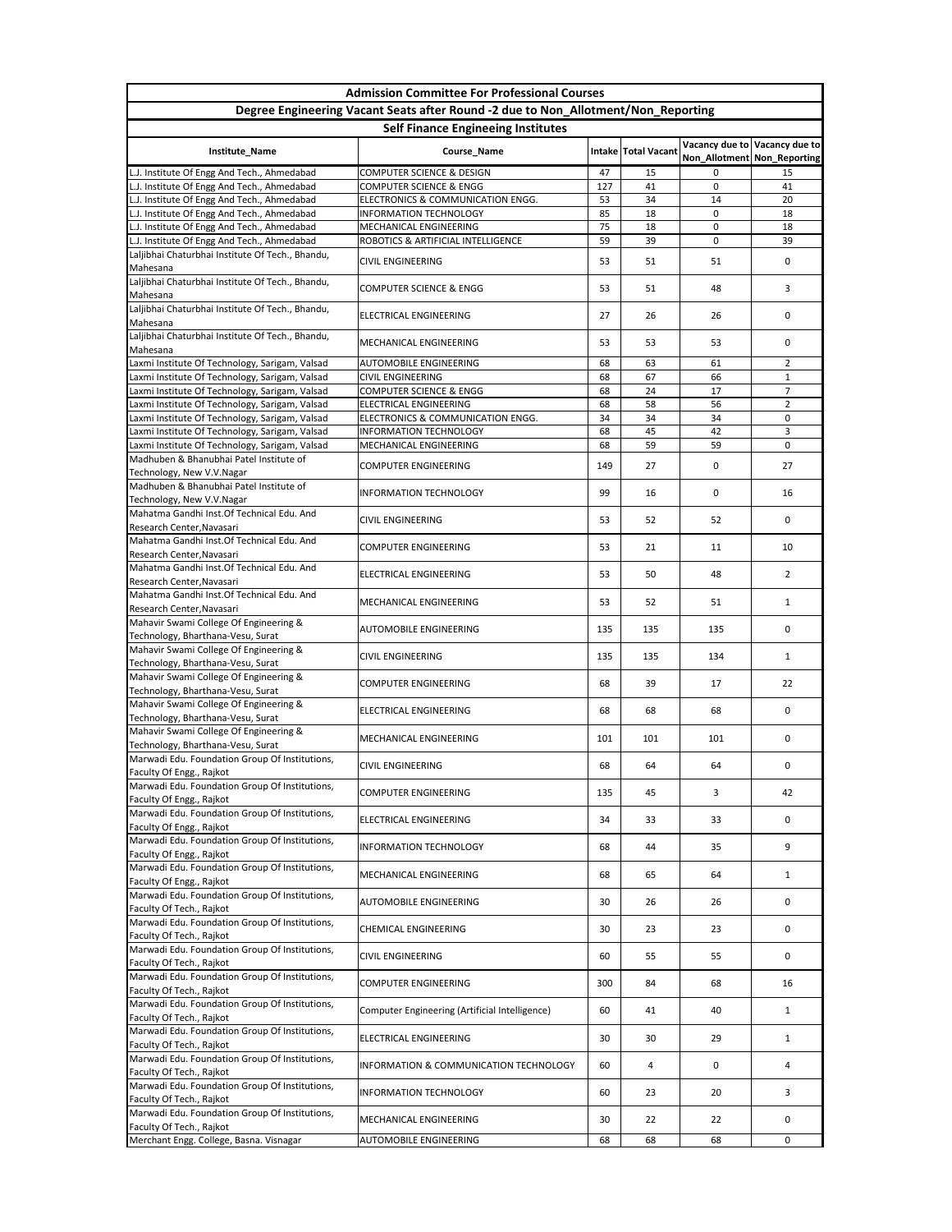|                                                                                            | <b>Admission Committee For Professional Courses</b>                               |          |                     |             |                                                              |  |  |  |
|--------------------------------------------------------------------------------------------|-----------------------------------------------------------------------------------|----------|---------------------|-------------|--------------------------------------------------------------|--|--|--|
|                                                                                            | Degree Engineering Vacant Seats after Round -2 due to Non_Allotment/Non_Reporting |          |                     |             |                                                              |  |  |  |
| <b>Self Finance Engineeing Institutes</b>                                                  |                                                                                   |          |                     |             |                                                              |  |  |  |
| Institute_Name                                                                             | Course_Name                                                                       |          | Intake Total Vacant |             | Vacancy due to Vacancy due to<br>Non_Allotment Non_Reporting |  |  |  |
| L.J. Institute Of Engg And Tech., Ahmedabad                                                | <b>COMPUTER SCIENCE &amp; DESIGN</b>                                              | 47       | 15                  | 0           | 15                                                           |  |  |  |
| L.J. Institute Of Engg And Tech., Ahmedabad                                                | <b>COMPUTER SCIENCE &amp; ENGG</b>                                                | 127      | 41                  | $\mathbf 0$ | 41                                                           |  |  |  |
| L.J. Institute Of Engg And Tech., Ahmedabad<br>L.J. Institute Of Engg And Tech., Ahmedabad | ELECTRONICS & COMMUNICATION ENGG.<br><b>INFORMATION TECHNOLOGY</b>                | 53<br>85 | 34<br>18            | 14<br>0     | 20<br>18                                                     |  |  |  |
| L.J. Institute Of Engg And Tech., Ahmedabad                                                | MECHANICAL ENGINEERING                                                            | 75       | 18                  | 0           | 18                                                           |  |  |  |
| L.J. Institute Of Engg And Tech., Ahmedabad                                                | ROBOTICS & ARTIFICIAL INTELLIGENCE                                                | 59       | 39                  | 0           | 39                                                           |  |  |  |
| Laljibhai Chaturbhai Institute Of Tech., Bhandu,<br>Mahesana                               | <b>CIVIL ENGINEERING</b>                                                          | 53       | 51                  | 51          | 0                                                            |  |  |  |
| Laljibhai Chaturbhai Institute Of Tech., Bhandu,<br>Mahesana                               | <b>COMPUTER SCIENCE &amp; ENGG</b>                                                | 53       | 51                  | 48          | 3                                                            |  |  |  |
| Laljibhai Chaturbhai Institute Of Tech., Bhandu,<br>Mahesana                               | <b>ELECTRICAL ENGINEERING</b>                                                     | 27       | 26                  | 26          | 0                                                            |  |  |  |
| Laljibhai Chaturbhai Institute Of Tech., Bhandu,<br>Mahesana                               | MECHANICAL ENGINEERING                                                            | 53       | 53                  | 53          | 0                                                            |  |  |  |
| Laxmi Institute Of Technology, Sarigam, Valsad                                             | <b>AUTOMOBILE ENGINEERING</b>                                                     | 68       | 63                  | 61          | $\overline{2}$                                               |  |  |  |
| Laxmi Institute Of Technology, Sarigam, Valsad                                             | <b>CIVIL ENGINEERING</b>                                                          | 68       | 67                  | 66          | $\mathbf{1}$                                                 |  |  |  |
| Laxmi Institute Of Technology, Sarigam, Valsad                                             | <b>COMPUTER SCIENCE &amp; ENGG</b>                                                | 68       | 24                  | 17          | $\overline{7}$                                               |  |  |  |
| Laxmi Institute Of Technology, Sarigam, Valsad                                             | <b>ELECTRICAL ENGINEERING</b>                                                     | 68       | 58                  | 56          | $\overline{2}$                                               |  |  |  |
| Laxmi Institute Of Technology, Sarigam, Valsad                                             | ELECTRONICS & COMMUNICATION ENGG.                                                 | 34       | 34                  | 34          | 0                                                            |  |  |  |
| Laxmi Institute Of Technology, Sarigam, Valsad                                             | <b>INFORMATION TECHNOLOGY</b>                                                     | 68       | 45                  | 42          | 3                                                            |  |  |  |
| Laxmi Institute Of Technology, Sarigam, Valsad<br>Madhuben & Bhanubhai Patel Institute of  | MECHANICAL ENGINEERING                                                            | 68       | 59                  | 59          | 0                                                            |  |  |  |
| Technology, New V.V.Nagar                                                                  | <b>COMPUTER ENGINEERING</b>                                                       | 149      | 27                  | 0           | 27                                                           |  |  |  |
| Madhuben & Bhanubhai Patel Institute of<br>Technology, New V.V.Nagar                       | <b>INFORMATION TECHNOLOGY</b>                                                     | 99       | 16                  | 0           | 16                                                           |  |  |  |
| Mahatma Gandhi Inst. Of Technical Edu. And<br>Research Center, Navasari                    | <b>CIVIL ENGINEERING</b>                                                          | 53       | 52                  | 52          | 0                                                            |  |  |  |
| Mahatma Gandhi Inst. Of Technical Edu. And<br>Research Center, Navasari                    | <b>COMPUTER ENGINEERING</b>                                                       | 53       | 21                  | 11          | 10                                                           |  |  |  |
| Mahatma Gandhi Inst. Of Technical Edu. And<br>Research Center, Navasari                    | <b>ELECTRICAL ENGINEERING</b>                                                     | 53       | 50                  | 48          | $2^{\circ}$                                                  |  |  |  |
| Mahatma Gandhi Inst. Of Technical Edu. And<br>Research Center, Navasari                    | MECHANICAL ENGINEERING                                                            | 53       | 52                  | 51          | $\mathbf{1}$                                                 |  |  |  |
| Mahavir Swami College Of Engineering &<br>Technology, Bharthana-Vesu, Surat                | <b>AUTOMOBILE ENGINEERING</b>                                                     | 135      | 135                 | 135         | 0                                                            |  |  |  |
| Mahavir Swami College Of Engineering &<br>Technology, Bharthana-Vesu, Surat                | <b>CIVIL ENGINEERING</b>                                                          | 135      | 135                 | 134         | $\mathbf{1}$                                                 |  |  |  |
| Mahavir Swami College Of Engineering &<br>Technology, Bharthana-Vesu, Surat                | <b>COMPUTER ENGINEERING</b>                                                       | 68       | 39                  | 17          | 22                                                           |  |  |  |
| Mahavir Swami College Of Engineering &<br>Technology, Bharthana-Vesu, Surat                | <b>ELECTRICAL ENGINEERING</b>                                                     | 68       | 68                  | 68          | 0                                                            |  |  |  |
| Mahavir Swami College Of Engineering &<br>Technology, Bharthana-Vesu, Surat                | MECHANICAL ENGINEERING                                                            | 101      | 101                 | 101         | 0                                                            |  |  |  |
| Marwadi Edu. Foundation Group Of Institutions,<br>Faculty Of Engg., Rajkot                 | <b>CIVIL ENGINEERING</b>                                                          | 68       | 64                  | 64          | 0                                                            |  |  |  |
| Marwadi Edu. Foundation Group Of Institutions,                                             | <b>COMPUTER ENGINEERING</b>                                                       | 135      | 45                  | 3           | 42                                                           |  |  |  |
| Faculty Of Engg., Rajkot<br>Marwadi Edu. Foundation Group Of Institutions,                 | ELECTRICAL ENGINEERING                                                            | 34       | 33                  | 33          | 0                                                            |  |  |  |
| Faculty Of Engg., Rajkot<br>Marwadi Edu. Foundation Group Of Institutions,                 | <b>INFORMATION TECHNOLOGY</b>                                                     | 68       | 44                  | 35          | 9                                                            |  |  |  |
| Faculty Of Engg., Rajkot<br>Marwadi Edu. Foundation Group Of Institutions,                 | MECHANICAL ENGINEERING                                                            | 68       | 65                  | 64          | $\mathbf{1}$                                                 |  |  |  |
| Faculty Of Engg., Rajkot<br>Marwadi Edu. Foundation Group Of Institutions,                 | <b>AUTOMOBILE ENGINEERING</b>                                                     | 30       | 26                  | 26          | 0                                                            |  |  |  |
| Faculty Of Tech., Rajkot<br>Marwadi Edu. Foundation Group Of Institutions,                 |                                                                                   | 30       | 23                  | 23          |                                                              |  |  |  |
| Faculty Of Tech., Rajkot<br>Marwadi Edu. Foundation Group Of Institutions,                 | <b>CHEMICAL ENGINEERING</b>                                                       |          |                     |             | 0                                                            |  |  |  |
| Faculty Of Tech., Rajkot<br>Marwadi Edu. Foundation Group Of Institutions,                 | <b>CIVIL ENGINEERING</b>                                                          | 60       | 55                  | 55          | 0                                                            |  |  |  |
| Faculty Of Tech., Rajkot<br>Marwadi Edu. Foundation Group Of Institutions,                 | <b>COMPUTER ENGINEERING</b>                                                       | 300      | 84                  | 68          | 16                                                           |  |  |  |
| Faculty Of Tech., Rajkot                                                                   | Computer Engineering (Artificial Intelligence)                                    | 60       | 41                  | 40          | 1                                                            |  |  |  |
| Marwadi Edu. Foundation Group Of Institutions,<br>Faculty Of Tech., Rajkot                 | <b>ELECTRICAL ENGINEERING</b>                                                     | 30       | 30                  | 29          | $\mathbf{1}$                                                 |  |  |  |
| Marwadi Edu. Foundation Group Of Institutions,<br>Faculty Of Tech., Rajkot                 | INFORMATION & COMMUNICATION TECHNOLOGY                                            | 60       | 4                   | 0           | 4                                                            |  |  |  |
| Marwadi Edu. Foundation Group Of Institutions,<br>Faculty Of Tech., Rajkot                 | <b>INFORMATION TECHNOLOGY</b>                                                     | 60       | 23                  | 20          | 3                                                            |  |  |  |
| Marwadi Edu. Foundation Group Of Institutions,<br>Faculty Of Tech., Rajkot                 | MECHANICAL ENGINEERING                                                            | 30       | 22                  | 22          | 0                                                            |  |  |  |
| Merchant Engg. College, Basna. Visnagar                                                    | <b>AUTOMOBILE ENGINEERING</b>                                                     | 68       | 68                  | 68          | 0                                                            |  |  |  |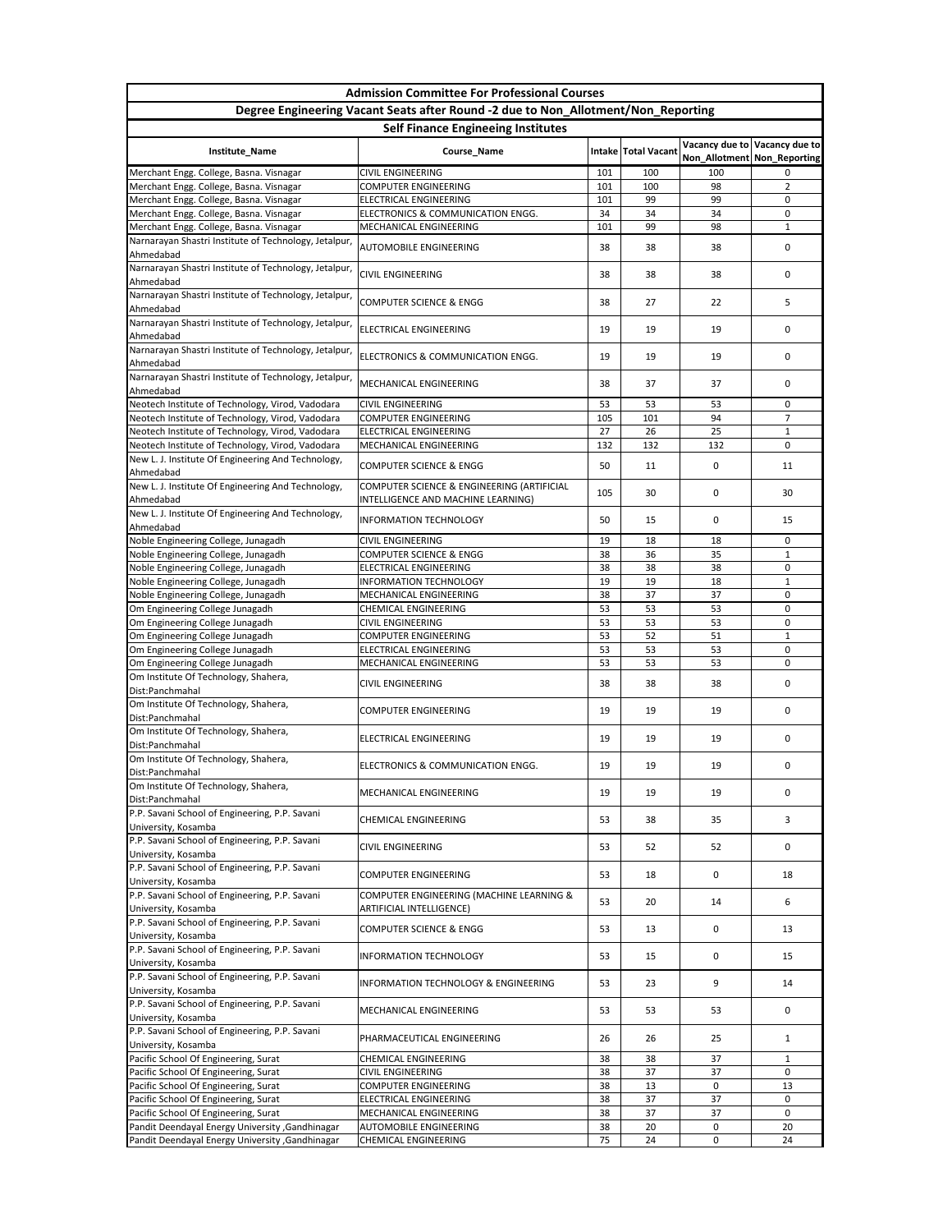|                                                                                                        | <b>Admission Committee For Professional Courses</b>                               |           |                       |                               |                               |  |  |  |
|--------------------------------------------------------------------------------------------------------|-----------------------------------------------------------------------------------|-----------|-----------------------|-------------------------------|-------------------------------|--|--|--|
|                                                                                                        | Degree Engineering Vacant Seats after Round -2 due to Non_Allotment/Non_Reporting |           |                       |                               |                               |  |  |  |
| <b>Self Finance Engineeing Institutes</b>                                                              |                                                                                   |           |                       |                               |                               |  |  |  |
| Institute_Name                                                                                         | Course_Name                                                                       |           | Intake   Total Vacant | Non_Allotment   Non_Reporting | Vacancy due to Vacancy due to |  |  |  |
| Merchant Engg. College, Basna. Visnagar                                                                | <b>CIVIL ENGINEERING</b>                                                          | 101       | 100                   | 100                           | 0                             |  |  |  |
| Merchant Engg. College, Basna. Visnagar                                                                | <b>COMPUTER ENGINEERING</b>                                                       | 101       | 100                   | 98                            | $2^{\circ}$                   |  |  |  |
| Merchant Engg. College, Basna. Visnagar                                                                | <b>ELECTRICAL ENGINEERING</b>                                                     | 101       | 99                    | 99                            | 0                             |  |  |  |
| Merchant Engg. College, Basna. Visnagar<br>Merchant Engg. College, Basna. Visnagar                     | ELECTRONICS & COMMUNICATION ENGG.<br><b>MECHANICAL ENGINEERING</b>                | 34<br>101 | 34<br>99              | 34<br>98                      | 0<br>$\mathbf{1}$             |  |  |  |
| Narnarayan Shastri Institute of Technology, Jetalpur,                                                  |                                                                                   |           |                       |                               |                               |  |  |  |
| Ahmedabad                                                                                              | <b>AUTOMOBILE ENGINEERING</b>                                                     | 38        | 38                    | 38                            | 0                             |  |  |  |
| Narnarayan Shastri Institute of Technology, Jetalpur,<br>Ahmedabad                                     | <b>CIVIL ENGINEERING</b>                                                          | 38        | 38                    | 38                            | 0                             |  |  |  |
| Narnarayan Shastri Institute of Technology, Jetalpur,<br>Ahmedabad                                     | <b>COMPUTER SCIENCE &amp; ENGG</b>                                                | 38        | 27                    | 22                            | 5.                            |  |  |  |
| Narnarayan Shastri Institute of Technology, Jetalpur,<br>Ahmedabad                                     | <b>ELECTRICAL ENGINEERING</b>                                                     | 19        | 19                    | 19                            | 0                             |  |  |  |
| Narnarayan Shastri Institute of Technology, Jetalpur,<br>Ahmedabad                                     | ELECTRONICS & COMMUNICATION ENGG.                                                 | 19        | 19                    | 19                            | 0                             |  |  |  |
| Narnarayan Shastri Institute of Technology, Jetalpur,<br>Ahmedabad                                     | <b>MECHANICAL ENGINEERING</b>                                                     | 38        | 37                    | 37                            | 0                             |  |  |  |
| Neotech Institute of Technology, Virod, Vadodara                                                       | <b>CIVIL ENGINEERING</b>                                                          | 53        | 53                    | 53                            | 0                             |  |  |  |
| Neotech Institute of Technology, Virod, Vadodara                                                       | <b>COMPUTER ENGINEERING</b>                                                       | 105       | 101                   | 94                            | 7                             |  |  |  |
| Neotech Institute of Technology, Virod, Vadodara                                                       | ELECTRICAL ENGINEERING                                                            | 27        | 26                    | 25                            | $\mathbf{1}$                  |  |  |  |
| Neotech Institute of Technology, Virod, Vadodara<br>New L. J. Institute Of Engineering And Technology, | MECHANICAL ENGINEERING                                                            | 132       | 132                   | 132                           | 0                             |  |  |  |
| Ahmedabad                                                                                              | <b>COMPUTER SCIENCE &amp; ENGG</b>                                                | 50        | 11                    | 0                             | 11                            |  |  |  |
| New L. J. Institute Of Engineering And Technology,<br>Ahmedabad                                        | COMPUTER SCIENCE & ENGINEERING (ARTIFICIAL<br>INTELLIGENCE AND MACHINE LEARNING)  | 105       | 30                    | 0                             | 30                            |  |  |  |
| New L. J. Institute Of Engineering And Technology,<br>Ahmedabad                                        | <b>INFORMATION TECHNOLOGY</b>                                                     | 50        | 15                    | 0                             | 15                            |  |  |  |
| Noble Engineering College, Junagadh                                                                    | <b>CIVIL ENGINEERING</b>                                                          | 19        | 18                    | 18                            | 0                             |  |  |  |
| Noble Engineering College, Junagadh                                                                    | <b>COMPUTER SCIENCE &amp; ENGG</b>                                                | 38        | 36                    | 35                            | $\mathbf{1}$                  |  |  |  |
| Noble Engineering College, Junagadh                                                                    | ELECTRICAL ENGINEERING                                                            | 38        | 38                    | 38                            | 0                             |  |  |  |
| Noble Engineering College, Junagadh<br>Noble Engineering College, Junagadh                             | <b>INFORMATION TECHNOLOGY</b><br>MECHANICAL ENGINEERING                           | 19<br>38  | 19<br>37              | 18<br>37                      | $\mathbf{1}$<br>0             |  |  |  |
| Om Engineering College Junagadh                                                                        | <b>CHEMICAL ENGINEERING</b>                                                       | 53        | 53                    | 53                            | 0                             |  |  |  |
| Om Engineering College Junagadh                                                                        | <b>CIVIL ENGINEERING</b>                                                          | 53        | 53                    | 53                            | 0                             |  |  |  |
| Om Engineering College Junagadh                                                                        | <b>COMPUTER ENGINEERING</b>                                                       | 53        | 52                    | 51                            | $\mathbf{1}$                  |  |  |  |
| Om Engineering College Junagadh                                                                        | <b>ELECTRICAL ENGINEERING</b>                                                     | 53        | 53                    | 53                            | 0                             |  |  |  |
| Om Engineering College Junagadh<br>Om Institute Of Technology, Shahera,                                | MECHANICAL ENGINEERING<br><b>CIVIL ENGINEERING</b>                                | 53<br>38  | 53<br>38              | 53<br>38                      | 0<br>0                        |  |  |  |
| Dist:Panchmahal<br>Om Institute Of Technology, Shahera,                                                |                                                                                   | 19        |                       |                               |                               |  |  |  |
| Dist:Panchmahal<br>Om Institute Of Technology, Shahera,                                                | <b>COMPUTER ENGINEERING</b>                                                       |           | 19                    | 19                            | 0                             |  |  |  |
| Dist:Panchmahal<br>Om Institute Of Technology, Shahera,                                                | ELECTRICAL ENGINEERING                                                            | 19        | 19                    | 19                            | 0                             |  |  |  |
| Dist:Panchmahal<br>Om Institute Of Technology, Shahera,                                                | ELECTRONICS & COMMUNICATION ENGG.                                                 | 19        | 19                    | 19                            | 0                             |  |  |  |
| Dist:Panchmahal                                                                                        | MECHANICAL ENGINEERING                                                            | 19        | 19                    | 19                            | 0                             |  |  |  |
| P.P. Savani School of Engineering, P.P. Savani<br>University, Kosamba                                  | <b>CHEMICAL ENGINEERING</b>                                                       | 53        | 38                    | 35                            | 3                             |  |  |  |
| P.P. Savani School of Engineering, P.P. Savani<br>University, Kosamba                                  | <b>CIVIL ENGINEERING</b>                                                          | 53        | 52                    | 52                            | 0                             |  |  |  |
| P.P. Savani School of Engineering, P.P. Savani<br>University, Kosamba                                  | <b>COMPUTER ENGINEERING</b>                                                       | 53        | 18                    | 0                             | 18                            |  |  |  |
| P.P. Savani School of Engineering, P.P. Savani<br>University, Kosamba                                  | COMPUTER ENGINEERING (MACHINE LEARNING &<br><b>ARTIFICIAL INTELLIGENCE)</b>       | 53        | 20                    | 14                            | 6                             |  |  |  |
| P.P. Savani School of Engineering, P.P. Savani<br>University, Kosamba                                  | COMPUTER SCIENCE & ENGG                                                           | 53        | 13                    | 0                             | 13                            |  |  |  |
| P.P. Savani School of Engineering, P.P. Savani<br>University, Kosamba                                  | <b>INFORMATION TECHNOLOGY</b>                                                     | 53        | 15                    | 0                             | 15                            |  |  |  |
| P.P. Savani School of Engineering, P.P. Savani<br>University, Kosamba                                  | <b>INFORMATION TECHNOLOGY &amp; ENGINEERING</b>                                   | 53        | 23                    | 9                             | 14                            |  |  |  |
| P.P. Savani School of Engineering, P.P. Savani<br>University, Kosamba                                  | MECHANICAL ENGINEERING                                                            | 53        | 53                    | 53                            | 0                             |  |  |  |
| P.P. Savani School of Engineering, P.P. Savani<br>University, Kosamba                                  | PHARMACEUTICAL ENGINEERING                                                        | 26        | 26                    | 25                            | $\mathbf{1}$                  |  |  |  |
| Pacific School Of Engineering, Surat                                                                   | <b>CHEMICAL ENGINEERING</b>                                                       | 38        | 38                    | 37                            | $\mathbf{1}$                  |  |  |  |
| Pacific School Of Engineering, Surat                                                                   | <b>CIVIL ENGINEERING</b>                                                          | 38        | 37                    | 37                            | 0                             |  |  |  |
| Pacific School Of Engineering, Surat                                                                   | <b>COMPUTER ENGINEERING</b>                                                       | 38        | 13                    | 0                             | 13                            |  |  |  |
| Pacific School Of Engineering, Surat                                                                   | <b>ELECTRICAL ENGINEERING</b>                                                     | 38        | 37                    | 37                            | 0                             |  |  |  |
| Pacific School Of Engineering, Surat                                                                   | MECHANICAL ENGINEERING                                                            | 38        | 37                    | 37                            | 0                             |  |  |  |
| Pandit Deendayal Energy University , Gandhinagar<br>Pandit Deendayal Energy University , Gandhinagar   | <b>AUTOMOBILE ENGINEERING</b><br><b>CHEMICAL ENGINEERING</b>                      | 38<br>75  | 20<br>24              | 0<br>$\mathsf{O}$             | 20<br>24                      |  |  |  |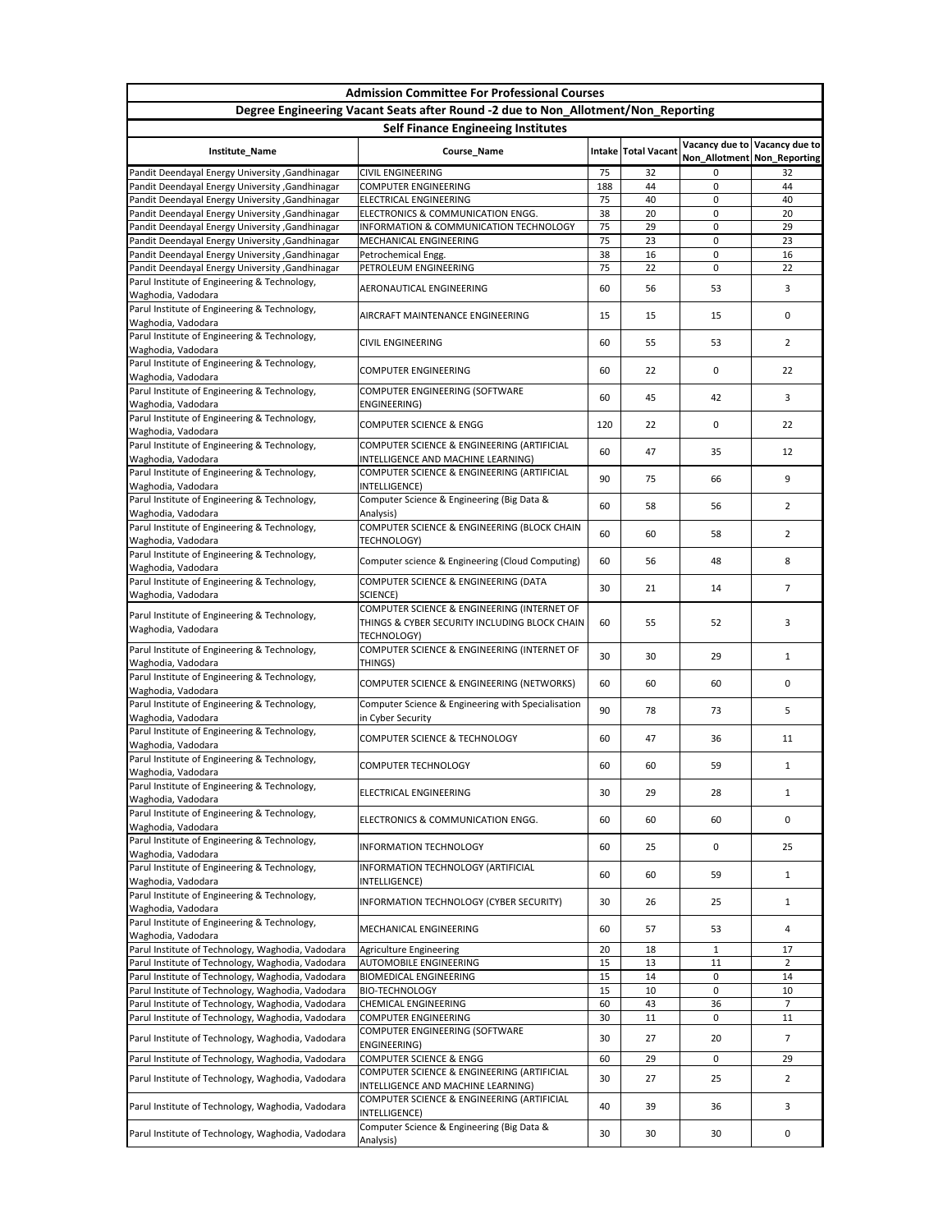| <b>Admission Committee For Professional Courses</b>                                                    |                                                                                                                    |          |                       |              |                                                                |  |  |  |
|--------------------------------------------------------------------------------------------------------|--------------------------------------------------------------------------------------------------------------------|----------|-----------------------|--------------|----------------------------------------------------------------|--|--|--|
| Degree Engineering Vacant Seats after Round -2 due to Non_Allotment/Non_Reporting                      |                                                                                                                    |          |                       |              |                                                                |  |  |  |
| <b>Self Finance Engineeing Institutes</b>                                                              |                                                                                                                    |          |                       |              |                                                                |  |  |  |
| Institute_Name                                                                                         | Course_Name                                                                                                        |          | Intake   Total Vacant |              | Vacancy due to Vacancy due to<br>Non_Allotment   Non_Reporting |  |  |  |
| Pandit Deendayal Energy University , Gandhinagar                                                       | <b>CIVIL ENGINEERING</b>                                                                                           | 75       | 32                    | 0            | 32                                                             |  |  |  |
| Pandit Deendayal Energy University , Gandhinagar                                                       | <b>COMPUTER ENGINEERING</b>                                                                                        | 188      | 44                    | 0            | 44                                                             |  |  |  |
| Pandit Deendayal Energy University , Gandhinagar                                                       | <b>ELECTRICAL ENGINEERING</b>                                                                                      | 75       | 40                    | 0            | 40                                                             |  |  |  |
| Pandit Deendayal Energy University , Gandhinagar                                                       | ELECTRONICS & COMMUNICATION ENGG.                                                                                  | 38       | 20                    | 0            | 20                                                             |  |  |  |
| Pandit Deendayal Energy University , Gandhinagar<br>Pandit Deendayal Energy University , Gandhinagar   | INFORMATION & COMMUNICATION TECHNOLOGY<br>MECHANICAL ENGINEERING                                                   | 75<br>75 | 29<br>23              | 0<br>0       | 29<br>23                                                       |  |  |  |
| Pandit Deendayal Energy University , Gandhinagar                                                       | Petrochemical Engg.                                                                                                | 38       | 16                    | 0            | 16                                                             |  |  |  |
| Pandit Deendayal Energy University , Gandhinagar                                                       | PETROLEUM ENGINEERING                                                                                              | 75       | 22                    | 0            | 22                                                             |  |  |  |
| Parul Institute of Engineering & Technology,<br>Waghodia, Vadodara                                     | AERONAUTICAL ENGINEERING                                                                                           | 60       | 56                    | 53           | 3                                                              |  |  |  |
| Parul Institute of Engineering & Technology,<br>Waghodia, Vadodara                                     | AIRCRAFT MAINTENANCE ENGINEERING                                                                                   | 15       | 15                    | 15           | 0                                                              |  |  |  |
| Parul Institute of Engineering & Technology,<br>Waghodia, Vadodara                                     | <b>CIVIL ENGINEERING</b>                                                                                           | 60       | 55                    | 53           | $\overline{2}$                                                 |  |  |  |
| Parul Institute of Engineering & Technology,<br>Waghodia, Vadodara                                     | <b>COMPUTER ENGINEERING</b>                                                                                        | 60       | 22                    | 0            | 22                                                             |  |  |  |
| Parul Institute of Engineering & Technology,                                                           | COMPUTER ENGINEERING (SOFTWARE                                                                                     |          |                       |              |                                                                |  |  |  |
| Waghodia, Vadodara<br>Parul Institute of Engineering & Technology,                                     | <b>ENGINEERING)</b>                                                                                                | 60       | 45                    | 42           | 3                                                              |  |  |  |
| Waghodia, Vadodara                                                                                     | <b>COMPUTER SCIENCE &amp; ENGG</b>                                                                                 | 120      | 22                    | 0            | 22                                                             |  |  |  |
| Parul Institute of Engineering & Technology,<br>Waghodia, Vadodara                                     | COMPUTER SCIENCE & ENGINEERING (ARTIFICIAL<br>INTELLIGENCE AND MACHINE LEARNING)                                   | 60       | 47                    | 35           | 12                                                             |  |  |  |
| Parul Institute of Engineering & Technology,<br>Waghodia, Vadodara                                     | COMPUTER SCIENCE & ENGINEERING (ARTIFICIAL<br>INTELLIGENCE)                                                        | 90       | 75                    | 66           | 9                                                              |  |  |  |
| Parul Institute of Engineering & Technology,<br>Waghodia, Vadodara                                     | Computer Science & Engineering (Big Data &<br>Analysis)                                                            | 60       | 58                    | 56           | 2                                                              |  |  |  |
| Parul Institute of Engineering & Technology,                                                           | COMPUTER SCIENCE & ENGINEERING (BLOCK CHAIN                                                                        | 60       | 60                    | 58           | $\overline{2}$                                                 |  |  |  |
| Waghodia, Vadodara<br>Parul Institute of Engineering & Technology,                                     | <b>TECHNOLOGY)</b><br>Computer science & Engineering (Cloud Computing)                                             | 60       | 56                    | 48           | 8                                                              |  |  |  |
| Waghodia, Vadodara                                                                                     |                                                                                                                    |          |                       |              |                                                                |  |  |  |
| Parul Institute of Engineering & Technology,<br>Waghodia, Vadodara                                     | COMPUTER SCIENCE & ENGINEERING (DATA<br>SCIENCE)                                                                   | 30       | 21                    | 14           | 7                                                              |  |  |  |
| Parul Institute of Engineering & Technology,<br>Waghodia, Vadodara                                     | COMPUTER SCIENCE & ENGINEERING (INTERNET OF<br>THINGS & CYBER SECURITY INCLUDING BLOCK CHAIN<br><b>TECHNOLOGY)</b> | 60       | 55                    | 52           | 3                                                              |  |  |  |
| Parul Institute of Engineering & Technology,<br>Waghodia, Vadodara                                     | COMPUTER SCIENCE & ENGINEERING (INTERNET OF<br>THINGS)                                                             | 30       | 30                    | 29           | 1                                                              |  |  |  |
| Parul Institute of Engineering & Technology,<br>Waghodia, Vadodara                                     | COMPUTER SCIENCE & ENGINEERING (NETWORKS)                                                                          | 60       | 60                    | 60           | 0                                                              |  |  |  |
| Parul Institute of Engineering & Technology,<br>Waghodia, Vadodara                                     | Computer Science & Engineering with Specialisation<br>in Cyber Security                                            | 90       | 78                    | 73           | 5                                                              |  |  |  |
| Parul Institute of Engineering & Technology,                                                           | <b>COMPUTER SCIENCE &amp; TECHNOLOGY</b>                                                                           | 60       | 47                    | 36           | 11                                                             |  |  |  |
| Waghodia, Vadodara<br>Parul Institute of Engineering & Technology,                                     | <b>COMPUTER TECHNOLOGY</b>                                                                                         | 60       | 60                    | 59           | 1                                                              |  |  |  |
| Waghodia, Vadodara<br>Parul Institute of Engineering & Technology,                                     | <b>ELECTRICAL ENGINEERING</b>                                                                                      | 30       | 29                    | 28           | 1                                                              |  |  |  |
| Waghodia, Vadodara<br>Parul Institute of Engineering & Technology,                                     | ELECTRONICS & COMMUNICATION ENGG.                                                                                  | 60       | 60                    | 60           | 0                                                              |  |  |  |
| Waghodia, Vadodara<br>Parul Institute of Engineering & Technology,                                     | <b>INFORMATION TECHNOLOGY</b>                                                                                      | 60       | 25                    |              | 25                                                             |  |  |  |
| Waghodia, Vadodara                                                                                     |                                                                                                                    |          |                       | 0            |                                                                |  |  |  |
| Parul Institute of Engineering & Technology,<br>Waghodia, Vadodara                                     | INFORMATION TECHNOLOGY (ARTIFICIAL<br>INTELLIGENCE)                                                                | 60       | 60                    | 59           | 1                                                              |  |  |  |
| Parul Institute of Engineering & Technology,<br>Waghodia, Vadodara                                     | INFORMATION TECHNOLOGY (CYBER SECURITY)                                                                            | 30       | 26                    | 25           | 1                                                              |  |  |  |
| Parul Institute of Engineering & Technology,<br>Waghodia, Vadodara                                     | MECHANICAL ENGINEERING                                                                                             | 60       | 57                    | 53           | 4                                                              |  |  |  |
| Parul Institute of Technology, Waghodia, Vadodara                                                      | Agriculture Engineering                                                                                            | 20       | 18                    | $\mathbf{1}$ | 17                                                             |  |  |  |
| Parul Institute of Technology, Waghodia, Vadodara                                                      | <b>AUTOMOBILE ENGINEERING</b>                                                                                      | 15       | 13                    | 11           | $\overline{2}$                                                 |  |  |  |
| Parul Institute of Technology, Waghodia, Vadodara                                                      | <b>BIOMEDICAL ENGINEERING</b>                                                                                      | 15       | 14                    | 0            | 14                                                             |  |  |  |
| Parul Institute of Technology, Waghodia, Vadodara                                                      | <b>BIO-TECHNOLOGY</b>                                                                                              | 15       | 10                    | 0            | 10                                                             |  |  |  |
| Parul Institute of Technology, Waghodia, Vadodara<br>Parul Institute of Technology, Waghodia, Vadodara | <b>CHEMICAL ENGINEERING</b><br><b>COMPUTER ENGINEERING</b>                                                         | 60<br>30 | 43<br>11              | 36<br>0      | $\overline{7}$<br>11                                           |  |  |  |
| Parul Institute of Technology, Waghodia, Vadodara                                                      | COMPUTER ENGINEERING (SOFTWARE                                                                                     | 30       | 27                    | 20           | 7                                                              |  |  |  |
| Parul Institute of Technology, Waghodia, Vadodara                                                      | <b>ENGINEERING)</b><br><b>COMPUTER SCIENCE &amp; ENGG</b>                                                          | 60       | 29                    | 0            | 29                                                             |  |  |  |
| Parul Institute of Technology, Waghodia, Vadodara                                                      | COMPUTER SCIENCE & ENGINEERING (ARTIFICIAL<br>INTELLIGENCE AND MACHINE LEARNING)                                   | 30       | 27                    | 25           | $\mathbf{2}$                                                   |  |  |  |
| Parul Institute of Technology, Waghodia, Vadodara                                                      | COMPUTER SCIENCE & ENGINEERING (ARTIFICIAL<br>INTELLIGENCE)                                                        | 40       | 39                    | 36           | 3                                                              |  |  |  |
| Parul Institute of Technology, Waghodia, Vadodara                                                      | Computer Science & Engineering (Big Data &<br>Analysis)                                                            | 30       | 30                    | 30           | 0                                                              |  |  |  |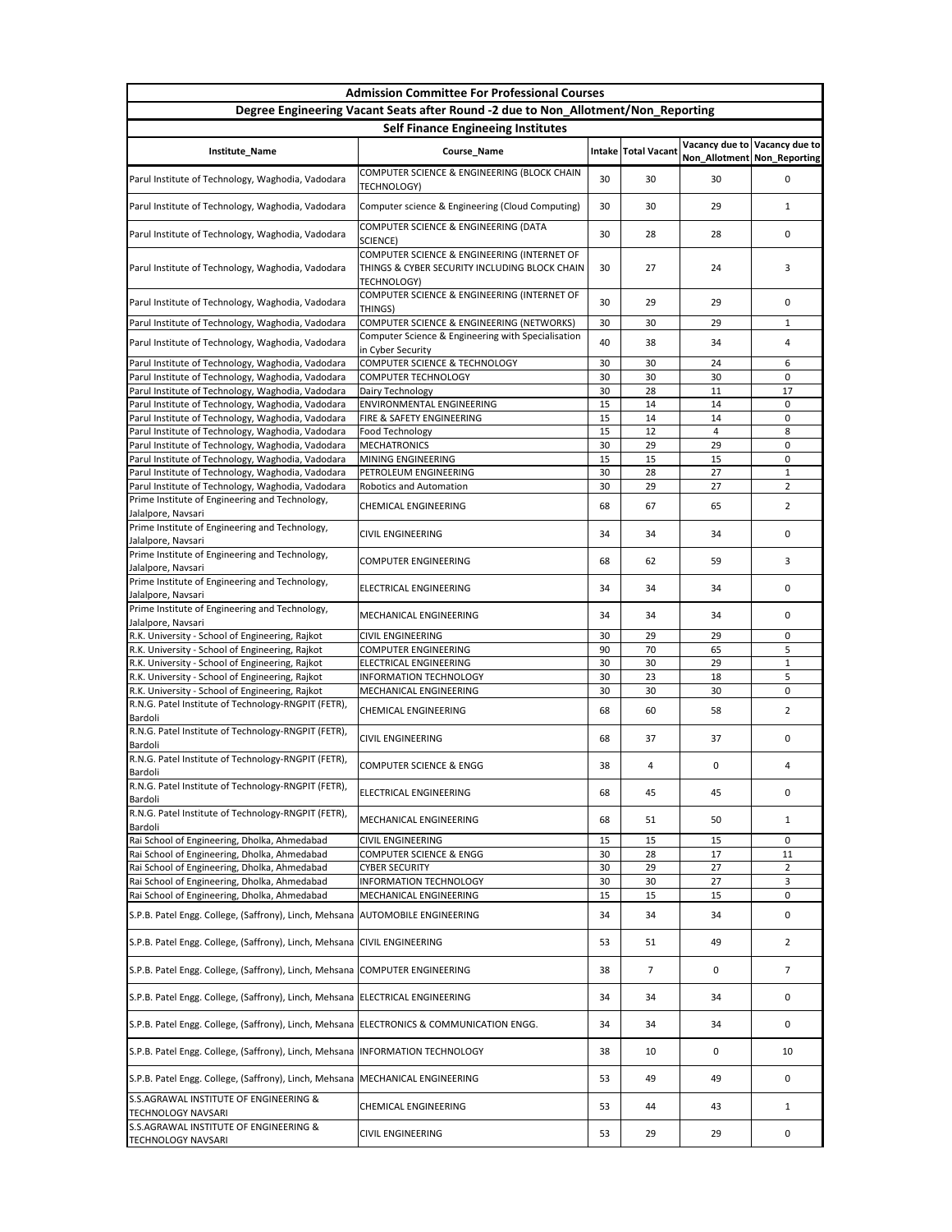| <b>Admission Committee For Professional Courses</b>                                                                           |                                                                                                             |          |                     |                             |                               |  |  |
|-------------------------------------------------------------------------------------------------------------------------------|-------------------------------------------------------------------------------------------------------------|----------|---------------------|-----------------------------|-------------------------------|--|--|
|                                                                                                                               | Degree Engineering Vacant Seats after Round -2 due to Non_Allotment/Non_Reporting                           |          |                     |                             |                               |  |  |
| <b>Self Finance Engineeing Institutes</b>                                                                                     |                                                                                                             |          |                     |                             |                               |  |  |
| Institute_Name                                                                                                                | Course_Name                                                                                                 |          | Intake Total Vacant | Non_Allotment Non_Reporting | Vacancy due to Vacancy due to |  |  |
| Parul Institute of Technology, Waghodia, Vadodara                                                                             | COMPUTER SCIENCE & ENGINEERING (BLOCK CHAIN<br><b>TECHNOLOGY)</b>                                           | 30       | 30                  | 30                          | $\Omega$                      |  |  |
| Parul Institute of Technology, Waghodia, Vadodara                                                                             | Computer science & Engineering (Cloud Computing)                                                            | 30       | 30                  | 29                          | 1                             |  |  |
| Parul Institute of Technology, Waghodia, Vadodara                                                                             | COMPUTER SCIENCE & ENGINEERING (DATA<br>SCIENCE)                                                            | 30       | 28                  | 28                          | 0                             |  |  |
| Parul Institute of Technology, Waghodia, Vadodara                                                                             | COMPUTER SCIENCE & ENGINEERING (INTERNET OF<br>THINGS & CYBER SECURITY INCLUDING BLOCK CHAIN<br>TECHNOLOGY) | 30       | 27                  | 24                          | 3                             |  |  |
| Parul Institute of Technology, Waghodia, Vadodara                                                                             | COMPUTER SCIENCE & ENGINEERING (INTERNET OF<br>THINGS)                                                      | 30       | 29                  | 29                          | $\Omega$                      |  |  |
| Parul Institute of Technology, Waghodia, Vadodara                                                                             | COMPUTER SCIENCE & ENGINEERING (NETWORKS)                                                                   | 30       | 30                  | 29                          | $\mathbf{1}$                  |  |  |
| Parul Institute of Technology, Waghodia, Vadodara                                                                             | Computer Science & Engineering with Specialisation<br>in Cyber Security                                     | 40       | 38                  | 34                          | 4                             |  |  |
| Parul Institute of Technology, Waghodia, Vadodara                                                                             | <b>COMPUTER SCIENCE &amp; TECHNOLOGY</b>                                                                    | 30       | 30                  | 24                          | 6                             |  |  |
| Parul Institute of Technology, Waghodia, Vadodara                                                                             | <b>COMPUTER TECHNOLOGY</b>                                                                                  | 30       | 30                  | 30                          | 0                             |  |  |
| Parul Institute of Technology, Waghodia, Vadodara                                                                             | Dairy Technology                                                                                            | 30       | 28                  | 11                          | 17                            |  |  |
| Parul Institute of Technology, Waghodia, Vadodara                                                                             | ENVIRONMENTAL ENGINEERING<br>FIRE & SAFETY ENGINEERING                                                      | 15<br>15 | 14<br>14            | 14<br>14                    | 0<br>0                        |  |  |
| Parul Institute of Technology, Waghodia, Vadodara<br>Parul Institute of Technology, Waghodia, Vadodara                        | Food Technology                                                                                             | 15       | 12                  | 4                           | 8                             |  |  |
| Parul Institute of Technology, Waghodia, Vadodara                                                                             | <b>MECHATRONICS</b>                                                                                         | 30       | 29                  | 29                          | 0                             |  |  |
| Parul Institute of Technology, Waghodia, Vadodara                                                                             | MINING ENGINEERING                                                                                          | 15       | 15                  | 15                          | 0                             |  |  |
| Parul Institute of Technology, Waghodia, Vadodara                                                                             | PETROLEUM ENGINEERING                                                                                       | 30       | 28                  | 27                          | $\mathbf{1}$                  |  |  |
| Parul Institute of Technology, Waghodia, Vadodara                                                                             | Robotics and Automation                                                                                     | 30       | 29                  | 27                          | $\overline{2}$                |  |  |
| Prime Institute of Engineering and Technology,                                                                                | <b>CHEMICAL ENGINEERING</b>                                                                                 | 68       | 67                  | 65                          | $2^{\circ}$                   |  |  |
| Jalalpore, Navsari<br>Prime Institute of Engineering and Technology,                                                          | <b>CIVIL ENGINEERING</b>                                                                                    | 34       | 34                  | 34                          | 0                             |  |  |
| Jalalpore, Navsari<br>Prime Institute of Engineering and Technology,                                                          | <b>COMPUTER ENGINEERING</b>                                                                                 | 68       | 62                  | 59                          | 3                             |  |  |
| Jalalpore, Navsari<br>Prime Institute of Engineering and Technology,                                                          | ELECTRICAL ENGINEERING                                                                                      | 34       | 34                  | 34                          | 0                             |  |  |
| Jalalpore, Navsari<br>Prime Institute of Engineering and Technology,                                                          | MECHANICAL ENGINEERING                                                                                      | 34       | 34                  | 34                          | 0                             |  |  |
| Jalalpore, Navsari                                                                                                            |                                                                                                             |          |                     |                             |                               |  |  |
| R.K. University - School of Engineering, Rajkot                                                                               | <b>CIVIL ENGINEERING</b>                                                                                    | 30       | 29                  | 29                          | 0                             |  |  |
| R.K. University - School of Engineering, Rajkot                                                                               | <b>COMPUTER ENGINEERING</b>                                                                                 | 90       | 70                  | 65                          | 5                             |  |  |
| R.K. University - School of Engineering, Rajkot                                                                               | <b>ELECTRICAL ENGINEERING</b>                                                                               | 30       | 30                  | 29                          | $\mathbf{1}$                  |  |  |
| R.K. University - School of Engineering, Rajkot                                                                               | <b>INFORMATION TECHNOLOGY</b>                                                                               | 30       | 23                  | 18<br>30                    | 5                             |  |  |
| R.K. University - School of Engineering, Rajkot<br>R.N.G. Patel Institute of Technology-RNGPIT (FETR),                        | MECHANICAL ENGINEERING                                                                                      | 30       | 30                  |                             | 0                             |  |  |
| Bardoli                                                                                                                       | <b>CHEMICAL ENGINEERING</b>                                                                                 | 68       | 60                  | 58                          | $\overline{2}$                |  |  |
| R.N.G. Patel Institute of Technology-RNGPIT (FETR),<br>Bardoli                                                                | <b>CIVIL ENGINEERING</b>                                                                                    | 68       | 37                  | 37                          | 0                             |  |  |
| R.N.G. Patel Institute of Technology-RNGPIT (FETR),<br>Bardoli                                                                | <b>COMPUTER SCIENCE &amp; ENGG</b>                                                                          | 38       | 4                   | 0                           | 4                             |  |  |
| R.N.G. Patel Institute of Technology-RNGPIT (FETR),<br>Bardoli                                                                | <b>ELECTRICAL ENGINEERING</b>                                                                               | 68       | 45                  | 45                          | 0                             |  |  |
| R.N.G. Patel Institute of Technology-RNGPIT (FETR),<br>Bardoli                                                                | MECHANICAL ENGINEERING                                                                                      | 68       | 51                  | 50                          | $\mathbf{1}$                  |  |  |
| Rai School of Engineering, Dholka, Ahmedabad                                                                                  | <b>CIVIL ENGINEERING</b>                                                                                    | 15       | 15                  | 15                          | 0                             |  |  |
| Rai School of Engineering, Dholka, Ahmedabad                                                                                  | <b>COMPUTER SCIENCE &amp; ENGG</b>                                                                          | 30       | 28                  | 17                          | 11                            |  |  |
| Rai School of Engineering, Dholka, Ahmedabad                                                                                  | <b>CYBER SECURITY</b>                                                                                       | 30       | 29                  | 27                          | $\overline{2}$                |  |  |
| Rai School of Engineering, Dholka, Ahmedabad                                                                                  | <b>INFORMATION TECHNOLOGY</b>                                                                               | 30       | 30                  | 27                          | 3                             |  |  |
| Rai School of Engineering, Dholka, Ahmedabad<br>S.P.B. Patel Engg. College, (Saffrony), Linch, Mehsana AUTOMOBILE ENGINEERING | MECHANICAL ENGINEERING                                                                                      | 15<br>34 | 15<br>34            | 15<br>34                    | 0<br>0                        |  |  |
| S.P.B. Patel Engg. College, (Saffrony), Linch, Mehsana CIVIL ENGINEERING                                                      |                                                                                                             | 53       | 51                  | 49                          | $\overline{2}$                |  |  |
|                                                                                                                               |                                                                                                             |          |                     |                             |                               |  |  |
| S.P.B. Patel Engg. College, (Saffrony), Linch, Mehsana COMPUTER ENGINEERING                                                   |                                                                                                             | 38       | 7                   | 0                           | $\overline{7}$                |  |  |
| S.P.B. Patel Engg. College, (Saffrony), Linch, Mehsana ELECTRICAL ENGINEERING                                                 |                                                                                                             | 34       | 34                  | 34                          | 0                             |  |  |
| S.P.B. Patel Engg. College, (Saffrony), Linch, Mehsana   ELECTRONICS & COMMUNICATION ENGG.                                    |                                                                                                             | 34       | 34                  | 34                          | 0                             |  |  |
| S.P.B. Patel Engg. College, (Saffrony), Linch, Mehsana  INFORMATION TECHNOLOGY                                                |                                                                                                             | 38       | 10                  | 0                           | 10                            |  |  |
| S.P.B. Patel Engg. College, (Saffrony), Linch, Mehsana MECHANICAL ENGINEERING<br>S.S.AGRAWAL INSTITUTE OF ENGINEERING &       |                                                                                                             | 53       | 49                  | 49                          | 0                             |  |  |
| <b>TECHNOLOGY NAVSARI</b>                                                                                                     | <b>CHEMICAL ENGINEERING</b>                                                                                 | 53       | 44                  | 43                          | 1                             |  |  |
| S.S.AGRAWAL INSTITUTE OF ENGINEERING &<br><b>TECHNOLOGY NAVSARI</b>                                                           | <b>CIVIL ENGINEERING</b>                                                                                    | 53       | 29                  | 29                          | 0                             |  |  |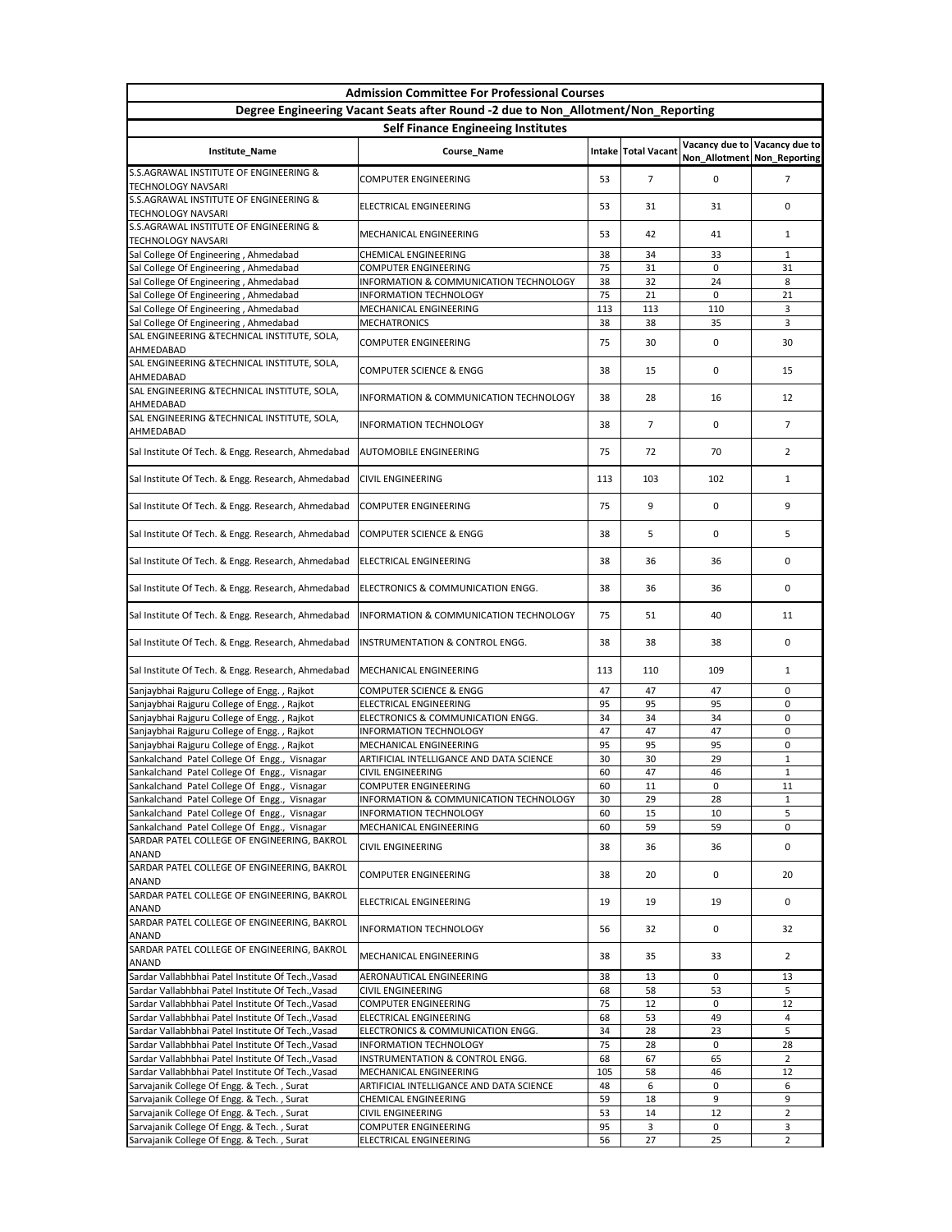| <b>Admission Committee For Professional Courses</b>                                          |                                                                                   |           |                              |                             |                               |  |  |  |
|----------------------------------------------------------------------------------------------|-----------------------------------------------------------------------------------|-----------|------------------------------|-----------------------------|-------------------------------|--|--|--|
|                                                                                              | Degree Engineering Vacant Seats after Round -2 due to Non_Allotment/Non_Reporting |           |                              |                             |                               |  |  |  |
| <b>Self Finance Engineeing Institutes</b>                                                    |                                                                                   |           |                              |                             |                               |  |  |  |
| <b>Institute_Name</b>                                                                        | Course_Name                                                                       |           | <b>Intake   Total Vacant</b> | Non_Allotment Non_Reporting | Vacancy due to Vacancy due to |  |  |  |
| S.S.AGRAWAL INSTITUTE OF ENGINEERING &<br><b>TECHNOLOGY NAVSARI</b>                          | <b>COMPUTER ENGINEERING</b>                                                       | 53        | 7                            | 0                           | 7                             |  |  |  |
| S.S.AGRAWAL INSTITUTE OF ENGINEERING &<br><b>TECHNOLOGY NAVSARI</b>                          | <b>ELECTRICAL ENGINEERING</b>                                                     | 53        | 31                           | 31                          | 0                             |  |  |  |
| <b>S.S.AGRAWAL INSTITUTE OF ENGINEERING &amp;</b><br><b>TECHNOLOGY NAVSARI</b>               | MECHANICAL ENGINEERING                                                            | 53        | 42                           | 41                          | 1                             |  |  |  |
| Sal College Of Engineering, Ahmedabad                                                        | <b>CHEMICAL ENGINEERING</b>                                                       | 38        | 34                           | 33                          | $\mathbf{1}$                  |  |  |  |
| Sal College Of Engineering, Ahmedabad                                                        | <b>COMPUTER ENGINEERING</b>                                                       | 75        | 31                           | 0                           | 31                            |  |  |  |
| Sal College Of Engineering, Ahmedabad                                                        | INFORMATION & COMMUNICATION TECHNOLOGY                                            | 38        | 32                           | 24                          | 8                             |  |  |  |
| Sal College Of Engineering, Ahmedabad                                                        | <b>INFORMATION TECHNOLOGY</b>                                                     | 75        | 21                           | 0                           | 21                            |  |  |  |
| Sal College Of Engineering, Ahmedabad<br>Sal College Of Engineering, Ahmedabad               | MECHANICAL ENGINEERING<br><b>MECHATRONICS</b>                                     | 113<br>38 | 113<br>38                    | 110<br>35                   | 3<br>3                        |  |  |  |
| SAL ENGINEERING & TECHNICAL INSTITUTE, SOLA,<br>AHMEDABAD                                    | <b>COMPUTER ENGINEERING</b>                                                       | 75        | 30                           | 0                           | 30                            |  |  |  |
| SAL ENGINEERING & TECHNICAL INSTITUTE, SOLA,<br>AHMEDABAD                                    | <b>COMPUTER SCIENCE &amp; ENGG</b>                                                | 38        | 15                           | 0                           | 15                            |  |  |  |
| SAL ENGINEERING &TECHNICAL INSTITUTE, SOLA,<br>AHMEDABAD                                     | <b>INFORMATION &amp; COMMUNICATION TECHNOLOGY</b>                                 | 38        | 28                           | 16                          | 12                            |  |  |  |
| SAL ENGINEERING &TECHNICAL INSTITUTE, SOLA,<br>AHMEDABAD                                     | <b>INFORMATION TECHNOLOGY</b>                                                     | 38        | 7                            | 0                           | $\overline{7}$                |  |  |  |
| Sal Institute Of Tech. & Engg. Research, Ahmedabad                                           | <b>AUTOMOBILE ENGINEERING</b>                                                     | 75        | 72                           | 70                          | $\overline{2}$                |  |  |  |
| Sal Institute Of Tech. & Engg. Research, Ahmedabad                                           | <b>CIVIL ENGINEERING</b>                                                          | 113       | 103                          | 102                         | 1                             |  |  |  |
| Sal Institute Of Tech. & Engg. Research, Ahmedabad COMPUTER ENGINEERING                      |                                                                                   | 75        | 9                            | 0                           |                               |  |  |  |
| Sal Institute Of Tech. & Engg. Research, Ahmedabad                                           | <b>COMPUTER SCIENCE &amp; ENGG</b>                                                | 38        | 5                            | 0                           | 5                             |  |  |  |
| Sal Institute Of Tech. & Engg. Research, Ahmedabad                                           | <b>ELECTRICAL ENGINEERING</b>                                                     | 38        | 36                           | 36                          | 0                             |  |  |  |
| Sal Institute Of Tech. & Engg. Research, Ahmedabad                                           | ELECTRONICS & COMMUNICATION ENGG.                                                 | 38        | 36                           | 36                          | 0                             |  |  |  |
| Sal Institute Of Tech. & Engg. Research, Ahmedabad                                           | <b>INFORMATION &amp; COMMUNICATION TECHNOLOGY</b>                                 | 75        | 51                           | 40                          | 11                            |  |  |  |
| Sal Institute Of Tech. & Engg. Research, Ahmedabad                                           | <b>INSTRUMENTATION &amp; CONTROL ENGG.</b>                                        | 38        | 38                           | 38                          | 0                             |  |  |  |
| Sal Institute Of Tech. & Engg. Research, Ahmedabad                                           | MECHANICAL ENGINEERING                                                            | 113       | 110                          | 109                         | 1                             |  |  |  |
| Sanjaybhai Rajguru College of Engg., Rajkot                                                  | <b>COMPUTER SCIENCE &amp; ENGG</b>                                                | 47        | 47                           | 47                          | 0                             |  |  |  |
| Sanjaybhai Rajguru College of Engg., Rajkot                                                  | ELECTRICAL ENGINEERING                                                            | 95        | 95                           | 95                          | 0                             |  |  |  |
| Sanjaybhai Rajguru College of Engg., Rajkot                                                  | ELECTRONICS & COMMUNICATION ENGG.                                                 | 34        | 34                           | 34                          | 0                             |  |  |  |
| Sanjaybhai Rajguru College of Engg., Rajkot                                                  | <b>INFORMATION TECHNOLOGY</b>                                                     | 47        | 47                           | 47                          | 0                             |  |  |  |
| Sanjaybhai Rajguru College of Engg., Rajkot                                                  | MECHANICAL ENGINEERING                                                            | 95        | 95                           | 95                          | 0                             |  |  |  |
| Sankalchand Patel College Of Engg., Visnagar                                                 | ARTIFICIAL INTELLIGANCE AND DATA SCIENCE                                          | 30        | 30                           | 29                          | $\mathbf{1}$                  |  |  |  |
| Sankalchand Patel College Of Engg., Visnagar                                                 | <b>CIVIL ENGINEERING</b>                                                          | 60        | 47                           | 46                          | $\mathbf{1}$                  |  |  |  |
| Sankalchand Patel College Of Engg., Visnagar                                                 | <b>COMPUTER ENGINEERING</b>                                                       | 60        | 11                           | 0                           | 11                            |  |  |  |
| Sankalchand Patel College Of Engg., Visnagar<br>Sankalchand Patel College Of Engg., Visnagar | INFORMATION & COMMUNICATION TECHNOLOGY<br><b>INFORMATION TECHNOLOGY</b>           | 30<br>60  | 29<br>15                     | 28<br>10                    | 1<br>5                        |  |  |  |
| Sankalchand Patel College Of Engg., Visnagar                                                 | MECHANICAL ENGINEERING                                                            | 60        | 59                           | 59                          | 0                             |  |  |  |
| SARDAR PATEL COLLEGE OF ENGINEERING, BAKROL<br><b>ANAND</b>                                  | <b>CIVIL ENGINEERING</b>                                                          | 38        | 36                           | 36                          | 0                             |  |  |  |
| SARDAR PATEL COLLEGE OF ENGINEERING, BAKROL<br><b>ANAND</b>                                  | <b>COMPUTER ENGINEERING</b>                                                       | 38        | 20                           | 0                           | 20                            |  |  |  |
| SARDAR PATEL COLLEGE OF ENGINEERING, BAKROL<br><b>ANAND</b>                                  | <b>ELECTRICAL ENGINEERING</b>                                                     | 19        | 19                           | 19                          | 0                             |  |  |  |
| SARDAR PATEL COLLEGE OF ENGINEERING, BAKROL<br><b>ANAND</b>                                  | <b>INFORMATION TECHNOLOGY</b>                                                     | 56        | 32                           | 0                           | 32                            |  |  |  |
| SARDAR PATEL COLLEGE OF ENGINEERING, BAKROL<br><b>ANAND</b>                                  | MECHANICAL ENGINEERING                                                            | 38        | 35                           | 33                          | $\overline{2}$                |  |  |  |
| Sardar Vallabhbhai Patel Institute Of Tech., Vasad                                           | AERONAUTICAL ENGINEERING                                                          | 38        | 13                           | 0                           | 13                            |  |  |  |
| Sardar Vallabhbhai Patel Institute Of Tech., Vasad                                           | <b>CIVIL ENGINEERING</b>                                                          | 68        | 58                           | 53                          | 5                             |  |  |  |
| Sardar Vallabhbhai Patel Institute Of Tech., Vasad                                           | <b>COMPUTER ENGINEERING</b>                                                       | 75        | 12                           | 0                           | 12                            |  |  |  |
| Sardar Vallabhbhai Patel Institute Of Tech., Vasad                                           | <b>ELECTRICAL ENGINEERING</b>                                                     | 68        | 53                           | 49                          | 4                             |  |  |  |
| Sardar Vallabhbhai Patel Institute Of Tech., Vasad                                           | ELECTRONICS & COMMUNICATION ENGG.                                                 | 34        | 28                           | 23                          | 5                             |  |  |  |
| Sardar Vallabhbhai Patel Institute Of Tech., Vasad                                           | <b>INFORMATION TECHNOLOGY</b>                                                     | 75        | 28                           | 0                           | 28                            |  |  |  |
| Sardar Vallabhbhai Patel Institute Of Tech., Vasad                                           | INSTRUMENTATION & CONTROL ENGG.                                                   | 68        | 67                           | 65                          | $2^{\circ}$                   |  |  |  |
| Sardar Vallabhbhai Patel Institute Of Tech., Vasad                                           | MECHANICAL ENGINEERING                                                            | 105       | 58                           | 46                          | 12                            |  |  |  |
| Sarvajanik College Of Engg. & Tech., Surat                                                   | ARTIFICIAL INTELLIGANCE AND DATA SCIENCE                                          | 48        | 6                            | 0                           | 6                             |  |  |  |
| Sarvajanik College Of Engg. & Tech., Surat<br>Sarvajanik College Of Engg. & Tech., Surat     | <b>CHEMICAL ENGINEERING</b><br><b>CIVIL ENGINEERING</b>                           | 59<br>53  | 18<br>14                     | 9<br>12                     | 9<br>$\overline{2}$           |  |  |  |
| Sarvajanik College Of Engg. & Tech., Surat                                                   | <b>COMPUTER ENGINEERING</b>                                                       | 95        | 3                            | 0                           | 3                             |  |  |  |
| Sarvajanik College Of Engg. & Tech., Surat                                                   | ELECTRICAL ENGINEERING                                                            | 56        | 27                           | 25                          | $\overline{2}$                |  |  |  |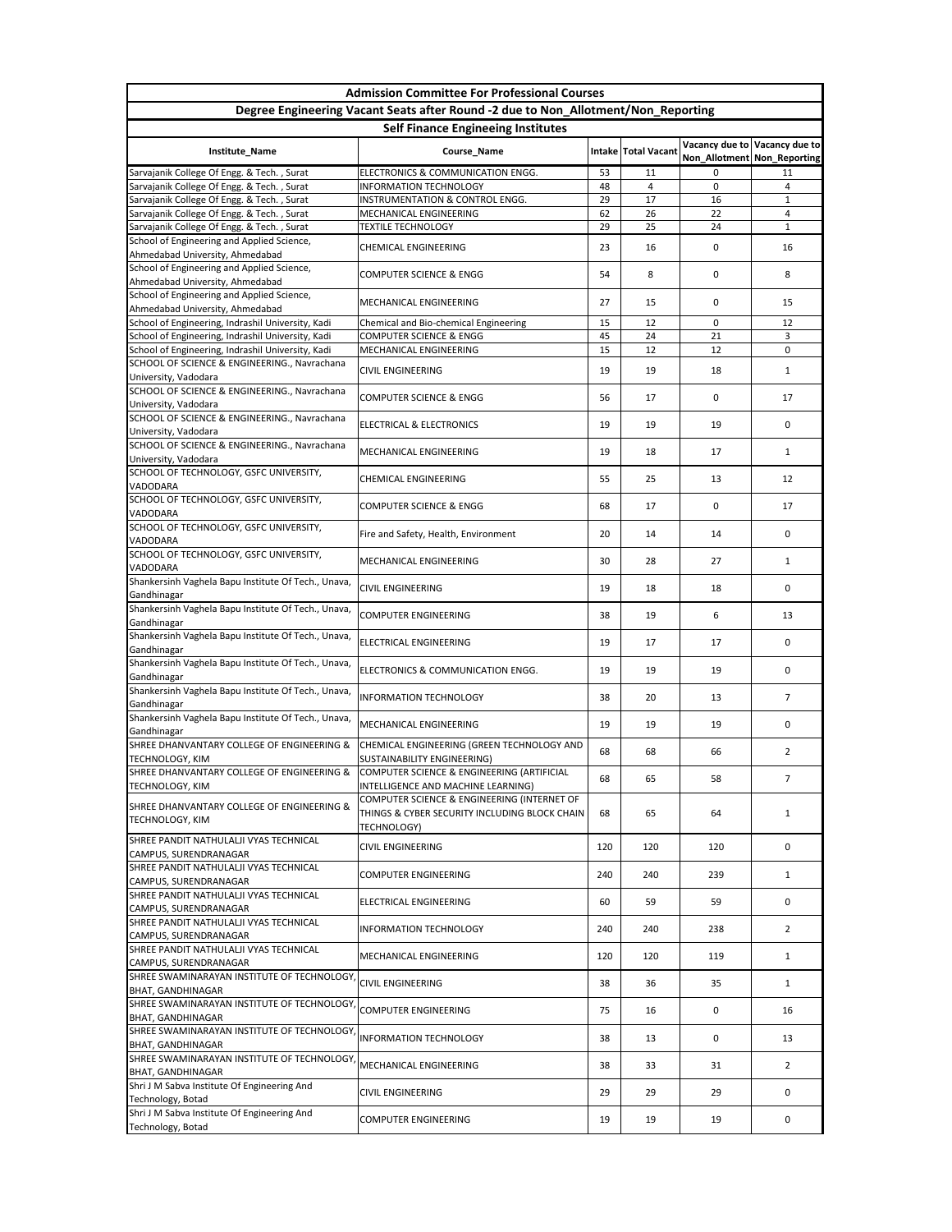| <b>Admission Committee For Professional Courses</b>                                            |                                                                                                                                    |          |                     |                               |                   |  |
|------------------------------------------------------------------------------------------------|------------------------------------------------------------------------------------------------------------------------------------|----------|---------------------|-------------------------------|-------------------|--|
| Degree Engineering Vacant Seats after Round -2 due to Non_Allotment/Non_Reporting              |                                                                                                                                    |          |                     |                               |                   |  |
| <b>Self Finance Engineeing Institutes</b><br>Vacancy due to Vacancy due to                     |                                                                                                                                    |          |                     |                               |                   |  |
| <b>Institute_Name</b>                                                                          | Course_Name                                                                                                                        |          | Intake Total Vacant | Non_Allotment   Non_Reporting |                   |  |
| Sarvajanik College Of Engg. & Tech., Surat                                                     | ELECTRONICS & COMMUNICATION ENGG.                                                                                                  | 53       | 11                  | 0                             | 11                |  |
| Sarvajanik College Of Engg. & Tech., Surat<br>Sarvajanik College Of Engg. & Tech., Surat       | <b>INFORMATION TECHNOLOGY</b><br>INSTRUMENTATION & CONTROL ENGG.                                                                   | 48<br>29 | 4<br>17             | 0<br>16                       | 4<br>$\mathbf{1}$ |  |
| Sarvajanik College Of Engg. & Tech., Surat                                                     | MECHANICAL ENGINEERING                                                                                                             | 62       | 26                  | 22                            | 4                 |  |
| Sarvajanik College Of Engg. & Tech., Surat                                                     | <b>TEXTILE TECHNOLOGY</b>                                                                                                          | 29       | 25                  | 24                            | $\mathbf{1}$      |  |
| School of Engineering and Applied Science,<br>Ahmedabad University, Ahmedabad                  | <b>CHEMICAL ENGINEERING</b>                                                                                                        | 23       | 16                  | 0                             | 16                |  |
| School of Engineering and Applied Science,<br>Ahmedabad University, Ahmedabad                  | <b>COMPUTER SCIENCE &amp; ENGG</b>                                                                                                 | 54       | 8                   | 0                             | 8                 |  |
| School of Engineering and Applied Science,<br>Ahmedabad University, Ahmedabad                  | MECHANICAL ENGINEERING                                                                                                             | 27       | 15                  | 0                             | 15                |  |
| School of Engineering, Indrashil University, Kadi                                              | Chemical and Bio-chemical Engineering                                                                                              | 15       | 12                  | 0                             | 12                |  |
| School of Engineering, Indrashil University, Kadi                                              | <b>COMPUTER SCIENCE &amp; ENGG</b>                                                                                                 | 45       | 24                  | 21                            | 3                 |  |
| School of Engineering, Indrashil University, Kadi                                              | MECHANICAL ENGINEERING                                                                                                             | 15       | 12                  | 12                            | 0                 |  |
| SCHOOL OF SCIENCE & ENGINEERING., Navrachana<br>University, Vadodara                           | <b>CIVIL ENGINEERING</b>                                                                                                           | 19       | 19                  | 18                            | $\mathbf{1}$      |  |
| SCHOOL OF SCIENCE & ENGINEERING., Navrachana<br>University, Vadodara                           | <b>COMPUTER SCIENCE &amp; ENGG</b>                                                                                                 | 56       | 17                  | 0                             | 17                |  |
| SCHOOL OF SCIENCE & ENGINEERING., Navrachana<br>University, Vadodara                           | <b>ELECTRICAL &amp; ELECTRONICS</b>                                                                                                | 19       | 19                  | 19                            | 0                 |  |
| SCHOOL OF SCIENCE & ENGINEERING., Navrachana                                                   | MECHANICAL ENGINEERING                                                                                                             | 19       | 18                  | 17                            | $\mathbf{1}$      |  |
| University, Vadodara<br>SCHOOL OF TECHNOLOGY, GSFC UNIVERSITY,                                 | <b>CHEMICAL ENGINEERING</b>                                                                                                        | 55       | 25                  | 13                            | 12                |  |
| <b>VADODARA</b><br>SCHOOL OF TECHNOLOGY, GSFC UNIVERSITY,                                      | <b>COMPUTER SCIENCE &amp; ENGG</b>                                                                                                 | 68       | 17                  | 0                             | 17                |  |
| <b>VADODARA</b><br>SCHOOL OF TECHNOLOGY, GSFC UNIVERSITY,                                      |                                                                                                                                    |          |                     |                               |                   |  |
| <b>VADODARA</b><br>SCHOOL OF TECHNOLOGY, GSFC UNIVERSITY,                                      | Fire and Safety, Health, Environment                                                                                               | 20       | 14                  | 14                            | 0                 |  |
| <b>VADODARA</b>                                                                                | MECHANICAL ENGINEERING                                                                                                             | 30       | 28                  | 27                            | $\mathbf{1}$      |  |
| Shankersinh Vaghela Bapu Institute Of Tech., Unava,<br>Gandhinagar                             | <b>CIVIL ENGINEERING</b>                                                                                                           | 19       | 18                  | 18                            | 0                 |  |
| Shankersinh Vaghela Bapu Institute Of Tech., Unava,<br>Gandhinagar                             | <b>COMPUTER ENGINEERING</b>                                                                                                        | 38       | 19                  | 6                             | 13                |  |
| Shankersinh Vaghela Bapu Institute Of Tech., Unava,<br>Gandhinagar                             | <b>ELECTRICAL ENGINEERING</b>                                                                                                      | 19       | 17                  | 17                            | 0                 |  |
| Shankersinh Vaghela Bapu Institute Of Tech., Unava,<br>Gandhinagar                             | ELECTRONICS & COMMUNICATION ENGG.                                                                                                  | 19       | 19                  | 19                            | 0                 |  |
| Shankersinh Vaghela Bapu Institute Of Tech., Unava,<br>Gandhinagar                             | <b>INFORMATION TECHNOLOGY</b>                                                                                                      | 38       | 20                  | 13                            | $\overline{7}$    |  |
| Shankersinh Vaghela Bapu Institute Of Tech., Unava,<br>Gandhinagar                             | MECHANICAL ENGINEERING                                                                                                             | 19       | 19                  | 19                            | 0                 |  |
| SHREE DHANVANTARY COLLEGE OF ENGINEERING &<br><b>TECHNOLOGY, KIM</b>                           | CHEMICAL ENGINEERING (GREEN TECHNOLOGY AND<br><b>SUSTAINABILITY ENGINEERING)</b>                                                   | 68       | 68                  | 66                            | $\overline{2}$    |  |
| SHREE DHANVANTARY COLLEGE OF ENGINEERING &                                                     | COMPUTER SCIENCE & ENGINEERING (ARTIFICIAL                                                                                         | 68       | 65                  | 58                            | $\overline{7}$    |  |
| <b>TECHNOLOGY, KIM</b><br>SHREE DHANVANTARY COLLEGE OF ENGINEERING &<br><b>TECHNOLOGY, KIM</b> | INTELLIGENCE AND MACHINE LEARNING)<br>COMPUTER SCIENCE & ENGINEERING (INTERNET OF<br>THINGS & CYBER SECURITY INCLUDING BLOCK CHAIN | 68       | 65                  | 64                            | $\mathbf{1}$      |  |
| SHREE PANDIT NATHULALJI VYAS TECHNICAL                                                         | TECHNOLOGY)<br><b>CIVIL ENGINEERING</b>                                                                                            | 120      | 120                 | 120                           | 0                 |  |
| CAMPUS, SURENDRANAGAR<br>SHREE PANDIT NATHULALJI VYAS TECHNICAL                                | <b>COMPUTER ENGINEERING</b>                                                                                                        | 240      | 240                 | 239                           | $\mathbf{1}$      |  |
| CAMPUS, SURENDRANAGAR<br>SHREE PANDIT NATHULALJI VYAS TECHNICAL                                | ELECTRICAL ENGINEERING                                                                                                             | 60       | 59                  | 59                            | $\Omega$          |  |
| CAMPUS, SURENDRANAGAR<br>SHREE PANDIT NATHULALJI VYAS TECHNICAL                                |                                                                                                                                    | 240      |                     | 238                           |                   |  |
| CAMPUS, SURENDRANAGAR<br>SHREE PANDIT NATHULALJI VYAS TECHNICAL                                | <b>INFORMATION TECHNOLOGY</b>                                                                                                      |          | 240                 |                               | $\overline{2}$    |  |
| <b>CAMPUS, SURENDRANAGAR</b>                                                                   | MECHANICAL ENGINEERING                                                                                                             | 120      | 120                 | 119                           | $\mathbf{1}$      |  |
| SHREE SWAMINARAYAN INSTITUTE OF TECHNOLOGY,<br><b>BHAT, GANDHINAGAR</b>                        | <b>CIVIL ENGINEERING</b>                                                                                                           | 38       | 36                  | 35                            | $\mathbf{1}$      |  |
| SHREE SWAMINARAYAN INSTITUTE OF TECHNOLOGY,<br><b>BHAT, GANDHINAGAR</b>                        | <b>COMPUTER ENGINEERING</b>                                                                                                        | 75       | 16                  | 0                             | 16                |  |
| SHREE SWAMINARAYAN INSTITUTE OF TECHNOLOGY,<br><b>BHAT, GANDHINAGAR</b>                        | <b>INFORMATION TECHNOLOGY</b>                                                                                                      | 38       | 13                  | 0                             | 13                |  |
| SHREE SWAMINARAYAN INSTITUTE OF TECHNOLOGY,<br><b>BHAT, GANDHINAGAR</b>                        | MECHANICAL ENGINEERING                                                                                                             | 38       | 33                  | 31                            | $\overline{2}$    |  |
| Shri J M Sabva Institute Of Engineering And<br>Technology, Botad                               | <b>CIVIL ENGINEERING</b>                                                                                                           | 29       | 29                  | 29                            | 0                 |  |
| Shri J M Sabva Institute Of Engineering And<br>Technology, Botad                               | <b>COMPUTER ENGINEERING</b>                                                                                                        | 19       | 19                  | 19                            | 0                 |  |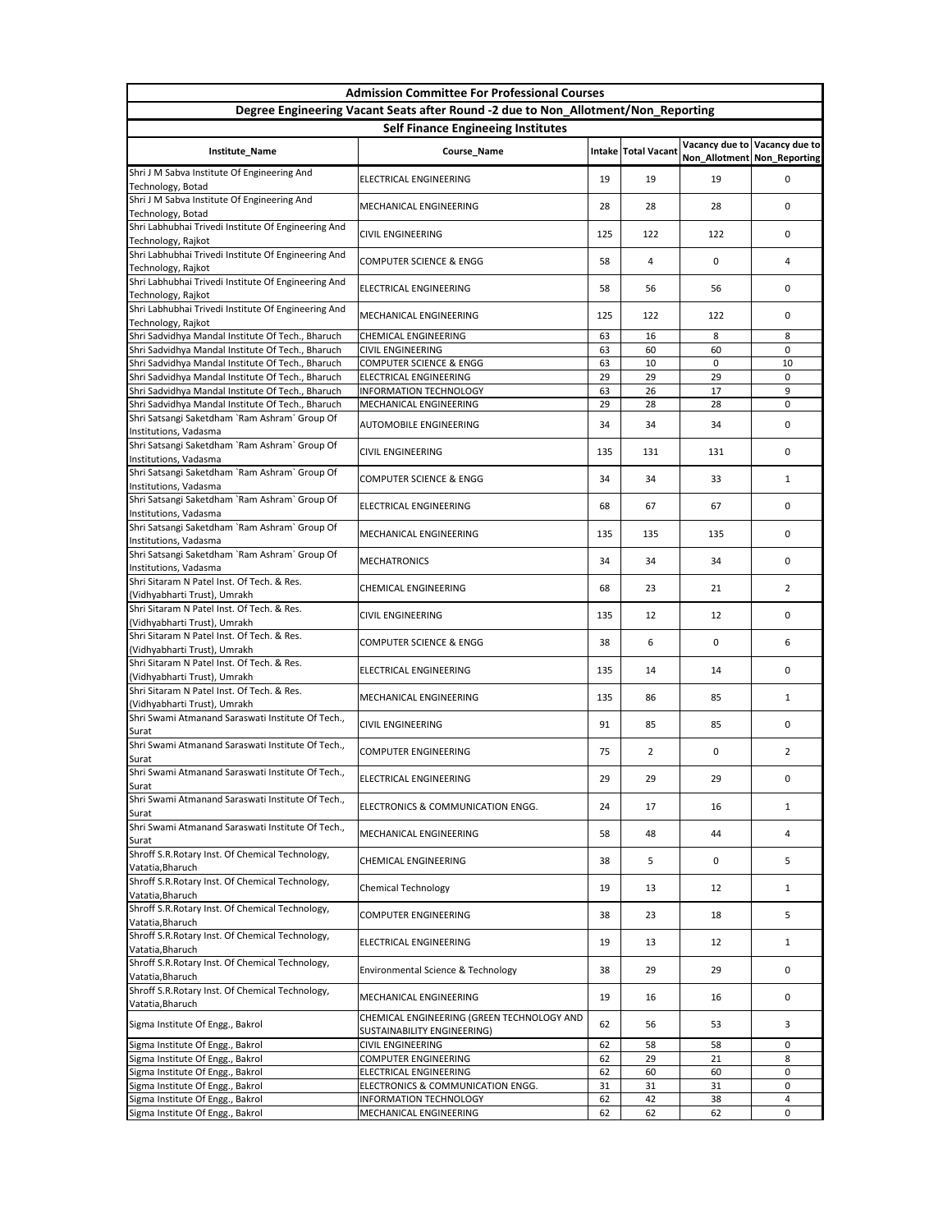|                                                                                   | <b>Admission Committee For Professional Courses</b>                              |     |                              |                               |                               |  |
|-----------------------------------------------------------------------------------|----------------------------------------------------------------------------------|-----|------------------------------|-------------------------------|-------------------------------|--|
| Degree Engineering Vacant Seats after Round -2 due to Non_Allotment/Non_Reporting |                                                                                  |     |                              |                               |                               |  |
| <b>Self Finance Engineeing Institutes</b>                                         |                                                                                  |     |                              |                               |                               |  |
| Institute_Name                                                                    | Course_Name                                                                      |     | <b>Intake   Total Vacant</b> | Non_Allotment   Non_Reporting | Vacancy due to Vacancy due to |  |
| Shri J M Sabva Institute Of Engineering And<br>Technology, Botad                  | ELECTRICAL ENGINEERING                                                           | 19  | 19                           | 19                            | 0                             |  |
| Shri J M Sabva Institute Of Engineering And<br>Technology, Botad                  | MECHANICAL ENGINEERING                                                           | 28  | 28                           | 28                            | 0                             |  |
| Shri Labhubhai Trivedi Institute Of Engineering And<br>Technology, Rajkot         | <b>CIVIL ENGINEERING</b>                                                         | 125 | 122                          | 122                           | 0                             |  |
| Shri Labhubhai Trivedi Institute Of Engineering And<br>Technology, Rajkot         | <b>COMPUTER SCIENCE &amp; ENGG</b>                                               | 58  | 4                            | 0                             | 4                             |  |
| Shri Labhubhai Trivedi Institute Of Engineering And<br>Technology, Rajkot         | <b>ELECTRICAL ENGINEERING</b>                                                    | 58  | 56                           | 56                            | 0                             |  |
| Shri Labhubhai Trivedi Institute Of Engineering And<br>Technology, Rajkot         | <b>MECHANICAL ENGINEERING</b>                                                    | 125 | 122                          | 122                           | $\Omega$                      |  |
| Shri Sadvidhya Mandal Institute Of Tech., Bharuch                                 | <b>CHEMICAL ENGINEERING</b>                                                      | 63  | 16                           | 8                             | 8                             |  |
| Shri Sadvidhya Mandal Institute Of Tech., Bharuch                                 | <b>CIVIL ENGINEERING</b>                                                         | 63  | 60                           | 60                            | 0                             |  |
| Shri Sadvidhya Mandal Institute Of Tech., Bharuch                                 | <b>COMPUTER SCIENCE &amp; ENGG</b>                                               | 63  | 10                           | 0                             | 10                            |  |
| Shri Sadvidhya Mandal Institute Of Tech., Bharuch                                 | <b>ELECTRICAL ENGINEERING</b>                                                    | 29  | 29                           | 29                            | 0                             |  |
| Shri Sadvidhya Mandal Institute Of Tech., Bharuch                                 | <b>INFORMATION TECHNOLOGY</b>                                                    | 63  | 26                           | 17                            | 9                             |  |
| Shri Sadvidhya Mandal Institute Of Tech., Bharuch                                 | MECHANICAL ENGINEERING                                                           | 29  | 28                           | 28                            | 0                             |  |
| Shri Satsangi Saketdham `Ram Ashram` Group Of<br>Institutions, Vadasma            | <b>AUTOMOBILE ENGINEERING</b>                                                    | 34  | 34                           | 34                            | 0                             |  |
| Shri Satsangi Saketdham `Ram Ashram` Group Of<br>Institutions, Vadasma            | <b>CIVIL ENGINEERING</b>                                                         | 135 | 131                          | 131                           | 0                             |  |
| Shri Satsangi Saketdham `Ram Ashram` Group Of<br>Institutions, Vadasma            | <b>COMPUTER SCIENCE &amp; ENGG</b>                                               | 34  | 34                           | 33                            | $\mathbf{1}$                  |  |
| Shri Satsangi Saketdham `Ram Ashram` Group Of<br>Institutions, Vadasma            | ELECTRICAL ENGINEERING                                                           | 68  | 67                           | 67                            | 0                             |  |
| Shri Satsangi Saketdham `Ram Ashram` Group Of<br>Institutions, Vadasma            | MECHANICAL ENGINEERING                                                           | 135 | 135                          | 135                           | 0                             |  |
| Shri Satsangi Saketdham `Ram Ashram` Group Of<br>Institutions, Vadasma            | <b>MECHATRONICS</b>                                                              | 34  | 34                           | 34                            | 0                             |  |
| Shri Sitaram N Patel Inst. Of Tech. & Res.<br>(Vidhyabharti Trust), Umrakh        | <b>CHEMICAL ENGINEERING</b>                                                      | 68  | 23                           | 21                            | $\overline{2}$                |  |
| Shri Sitaram N Patel Inst. Of Tech. & Res.<br>(Vidhyabharti Trust), Umrakh        | <b>CIVIL ENGINEERING</b>                                                         | 135 | 12                           | 12                            | 0                             |  |
| Shri Sitaram N Patel Inst. Of Tech. & Res.<br>(Vidhyabharti Trust), Umrakh        | <b>COMPUTER SCIENCE &amp; ENGG</b>                                               | 38  | 6                            | 0                             | 6                             |  |
| Shri Sitaram N Patel Inst. Of Tech. & Res.<br>(Vidhyabharti Trust), Umrakh        | <b>ELECTRICAL ENGINEERING</b>                                                    | 135 | 14                           | 14                            | 0                             |  |
| Shri Sitaram N Patel Inst. Of Tech. & Res.<br>(Vidhyabharti Trust), Umrakh        | MECHANICAL ENGINEERING                                                           | 135 | 86                           | 85                            | $\mathbf{1}$                  |  |
| Shri Swami Atmanand Saraswati Institute Of Tech.,<br>Surat                        | <b>CIVIL ENGINEERING</b>                                                         | 91  | 85                           | 85                            | 0                             |  |
| Shri Swami Atmanand Saraswati Institute Of Tech.,<br>Surat                        | <b>COMPUTER ENGINEERING</b>                                                      | 75  | $\overline{2}$               | 0                             | $\overline{2}$                |  |
| Shri Swami Atmanand Saraswati Institute Of Tech.,<br>Surat                        | <b>ELECTRICAL ENGINEERING</b>                                                    | 29  | 29                           | 29                            | 0                             |  |
| Shri Swami Atmanand Saraswati Institute Of Tech.,<br>Surat                        | ELECTRONICS & COMMUNICATION ENGG.                                                | 24  | 17                           | 16                            | 1                             |  |
| Shri Swami Atmanand Saraswati Institute Of Tech.,<br>Surat                        | MECHANICAL ENGINEERING                                                           | 58  | 48                           | 44                            | 4                             |  |
| Shroff S.R. Rotary Inst. Of Chemical Technology,<br>Vatatia, Bharuch              | <b>CHEMICAL ENGINEERING</b>                                                      | 38  | 5                            | 0                             | 5                             |  |
| Shroff S.R. Rotary Inst. Of Chemical Technology,<br>Vatatia, Bharuch              | <b>Chemical Technology</b>                                                       | 19  | 13                           | 12                            | $\mathbf{1}$                  |  |
| Shroff S.R. Rotary Inst. Of Chemical Technology,<br>Vatatia, Bharuch              | <b>COMPUTER ENGINEERING</b>                                                      | 38  | 23                           | 18                            | 5                             |  |
| Shroff S.R.Rotary Inst. Of Chemical Technology,<br>Vatatia, Bharuch               | <b>ELECTRICAL ENGINEERING</b>                                                    | 19  | 13                           | 12                            | $\mathbf{1}$                  |  |
| Shroff S.R. Rotary Inst. Of Chemical Technology,<br>Vatatia, Bharuch              | Environmental Science & Technology                                               | 38  | 29                           | 29                            | 0                             |  |
| Shroff S.R. Rotary Inst. Of Chemical Technology,<br>Vatatia, Bharuch              | MECHANICAL ENGINEERING                                                           | 19  | 16                           | 16                            | 0                             |  |
| Sigma Institute Of Engg., Bakrol                                                  | CHEMICAL ENGINEERING (GREEN TECHNOLOGY AND<br><b>SUSTAINABILITY ENGINEERING)</b> | 62  | 56                           | 53                            | 3                             |  |
| Sigma Institute Of Engg., Bakrol                                                  | <b>CIVIL ENGINEERING</b>                                                         | 62  | 58                           | 58                            | 0                             |  |
| Sigma Institute Of Engg., Bakrol                                                  | <b>COMPUTER ENGINEERING</b>                                                      | 62  | 29                           | 21                            | 8                             |  |
| Sigma Institute Of Engg., Bakrol                                                  | <b>ELECTRICAL ENGINEERING</b>                                                    | 62  | 60                           | 60                            | 0                             |  |
| Sigma Institute Of Engg., Bakrol                                                  | ELECTRONICS & COMMUNICATION ENGG.                                                | 31  | 31                           | 31                            | 0                             |  |
| Sigma Institute Of Engg., Bakrol                                                  | <b>INFORMATION TECHNOLOGY</b>                                                    | 62  | 42                           | 38                            | 4                             |  |
| Sigma Institute Of Engg., Bakrol                                                  | MECHANICAL ENGINEERING                                                           | 62  | 62                           | 62                            | 0                             |  |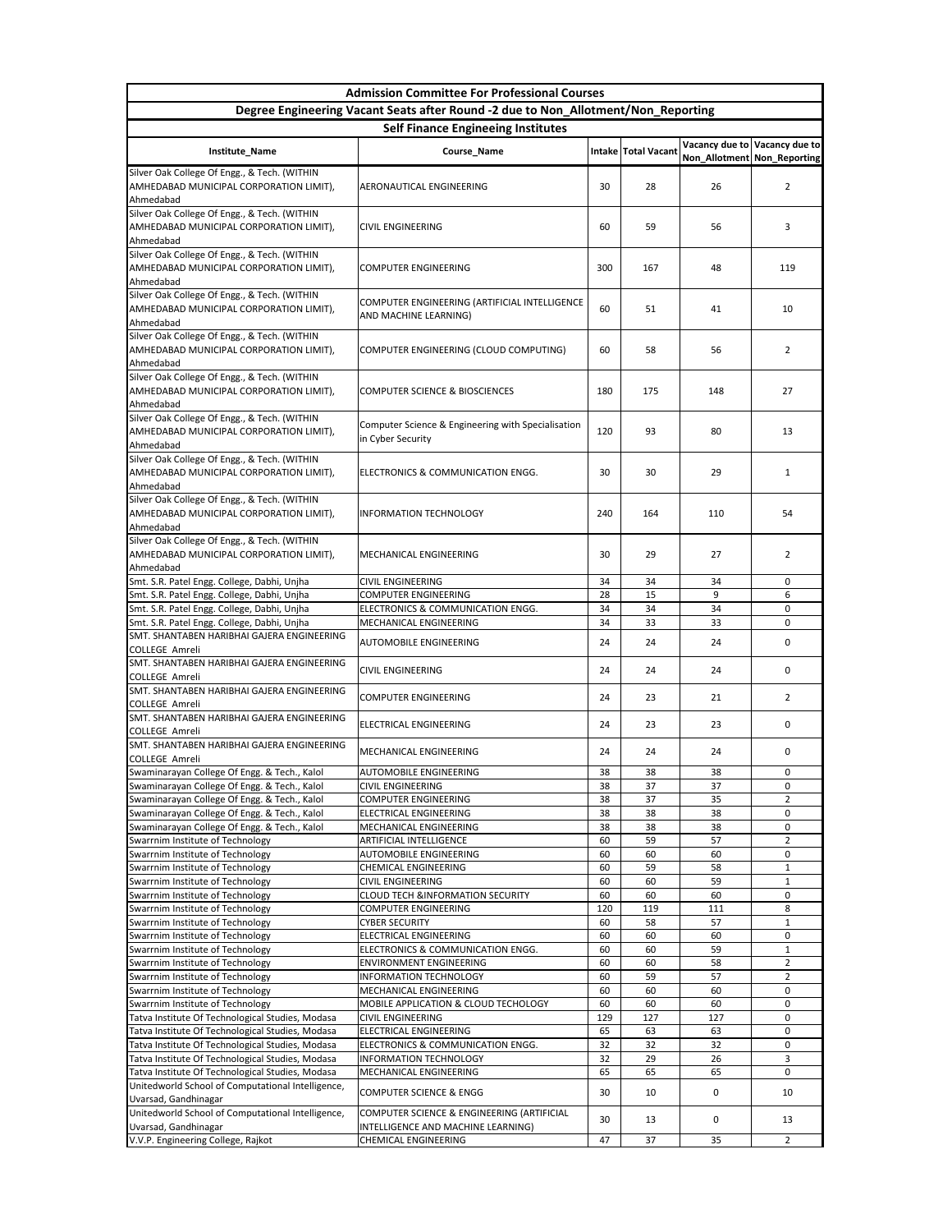| <b>Admission Committee For Professional Courses</b>                                                                           |                                                                         |          |                     |                             |                               |
|-------------------------------------------------------------------------------------------------------------------------------|-------------------------------------------------------------------------|----------|---------------------|-----------------------------|-------------------------------|
| Degree Engineering Vacant Seats after Round -2 due to Non_Allotment/Non_Reporting                                             |                                                                         |          |                     |                             |                               |
| <b>Self Finance Engineeing Institutes</b>                                                                                     |                                                                         |          |                     |                             |                               |
| Institute_Name                                                                                                                | <b>Course_Name</b>                                                      |          | Intake Total Vacant | Non_Allotment Non_Reporting | Vacancy due to Vacancy due to |
| Silver Oak College Of Engg., & Tech. (WITHIN<br>AMHEDABAD MUNICIPAL CORPORATION LIMIT),<br>Ahmedabad                          | <b>AERONAUTICAL ENGINEERING</b>                                         | 30       | 28                  | 26                          | $\overline{2}$                |
| Silver Oak College Of Engg., & Tech. (WITHIN<br>AMHEDABAD MUNICIPAL CORPORATION LIMIT),<br>Ahmedabad                          | <b>CIVIL ENGINEERING</b>                                                | 60       | 59                  | 56                          | 3                             |
| Silver Oak College Of Engg., & Tech. (WITHIN<br>AMHEDABAD MUNICIPAL CORPORATION LIMIT),<br>Ahmedabad                          | <b>COMPUTER ENGINEERING</b>                                             | 300      | 167                 | 48                          | 119                           |
| Silver Oak College Of Engg., & Tech. (WITHIN<br>AMHEDABAD MUNICIPAL CORPORATION LIMIT),<br>Ahmedabad                          | COMPUTER ENGINEERING (ARTIFICIAL INTELLIGENCE<br>AND MACHINE LEARNING)  | 60       | 51                  | 41                          | 10                            |
| Silver Oak College Of Engg., & Tech. (WITHIN<br>AMHEDABAD MUNICIPAL CORPORATION LIMIT),<br>Ahmedabad                          | COMPUTER ENGINEERING (CLOUD COMPUTING)                                  | 60       | 58                  | 56                          | $\overline{2}$                |
| Silver Oak College Of Engg., & Tech. (WITHIN<br>AMHEDABAD MUNICIPAL CORPORATION LIMIT),<br>Ahmedabad                          | <b>COMPUTER SCIENCE &amp; BIOSCIENCES</b>                               | 180      | 175                 | 148                         | 27                            |
| Silver Oak College Of Engg., & Tech. (WITHIN<br>AMHEDABAD MUNICIPAL CORPORATION LIMIT),<br>Ahmedabad                          | Computer Science & Engineering with Specialisation<br>in Cyber Security | 120      | 93                  | 80                          | 13                            |
| Silver Oak College Of Engg., & Tech. (WITHIN<br>AMHEDABAD MUNICIPAL CORPORATION LIMIT),<br>Ahmedabad                          | ELECTRONICS & COMMUNICATION ENGG.                                       | 30       | 30                  | 29                          | 1                             |
| Silver Oak College Of Engg., & Tech. (WITHIN<br>AMHEDABAD MUNICIPAL CORPORATION LIMIT),<br>Ahmedabad                          | <b>INFORMATION TECHNOLOGY</b>                                           | 240      | 164                 | 110                         | 54                            |
| Silver Oak College Of Engg., & Tech. (WITHIN<br>AMHEDABAD MUNICIPAL CORPORATION LIMIT),<br>Ahmedabad                          | <b>MECHANICAL ENGINEERING</b>                                           | 30       | 29                  | 27                          | $\overline{2}$                |
| Smt. S.R. Patel Engg. College, Dabhi, Unjha                                                                                   | <b>CIVIL ENGINEERING</b>                                                | 34       | 34                  | 34                          | 0                             |
| Smt. S.R. Patel Engg. College, Dabhi, Unjha                                                                                   | <b>COMPUTER ENGINEERING</b>                                             | 28       | 15                  | 9                           | 6                             |
| Smt. S.R. Patel Engg. College, Dabhi, Unjha                                                                                   | ELECTRONICS & COMMUNICATION ENGG.                                       | 34       | 34                  | 34                          | 0                             |
| Smt. S.R. Patel Engg. College, Dabhi, Unjha<br>SMT. SHANTABEN HARIBHAI GAJERA ENGINEERING                                     | MECHANICAL ENGINEERING<br><b>AUTOMOBILE ENGINEERING</b>                 | 34<br>24 | 33<br>24            | 33<br>24                    | 0<br>0                        |
| <b>COLLEGE Amreli</b><br>SMT. SHANTABEN HARIBHAI GAJERA ENGINEERING                                                           |                                                                         |          |                     |                             |                               |
| <b>COLLEGE Amreli</b><br>SMT. SHANTABEN HARIBHAI GAJERA ENGINEERING                                                           | <b>CIVIL ENGINEERING</b>                                                | 24       | 24                  | 24                          | 0                             |
| <b>COLLEGE Amreli</b><br>SMT. SHANTABEN HARIBHAI GAJERA ENGINEERING                                                           | <b>COMPUTER ENGINEERING</b>                                             | 24       | 23                  | 21                          | $\overline{2}$                |
| <b>COLLEGE Amreli</b>                                                                                                         | <b>ELECTRICAL ENGINEERING</b>                                           | 24       | 23                  | 23                          | 0                             |
| SMT. SHANTABEN HARIBHAI GAJERA ENGINEERING<br><b>COLLEGE Amreli</b>                                                           | MECHANICAL ENGINEERING                                                  | 24       | 24                  | 24                          | 0                             |
| Swaminarayan College Of Engg. & Tech., Kalol                                                                                  | <b>AUTOMOBILE ENGINEERING</b>                                           | 38       | 38                  | 38                          | 0                             |
| Swaminarayan College Of Engg. & Tech., Kalol                                                                                  | <b>CIVIL ENGINEERING</b>                                                | 38       | 37                  | 37                          | $\Omega$                      |
| Swaminarayan College Of Engg. & Tech., Kalol<br>Swaminarayan College Of Engg. & Tech., Kalol                                  | <b>COMPUTER ENGINEERING</b><br><b>ELECTRICAL ENGINEERING</b>            | 38<br>38 | 37<br>38            | 35<br>38                    | $\overline{2}$<br>0           |
| Swaminarayan College Of Engg. & Tech., Kalol                                                                                  | MECHANICAL ENGINEERING                                                  | 38       | 38                  | 38                          | 0                             |
| Swarrnim Institute of Technology                                                                                              | <b>ARTIFICIAL INTELLIGENCE</b>                                          | 60       | 59                  | 57                          | $\overline{2}$                |
| Swarrnim Institute of Technology                                                                                              | <b>AUTOMOBILE ENGINEERING</b>                                           | 60       | 60                  | 60                          | 0                             |
| Swarrnim Institute of Technology                                                                                              | <b>CHEMICAL ENGINEERING</b>                                             | 60       | 59                  | 58                          | $\mathbf{1}$                  |
| Swarrnim Institute of Technology<br>Swarrnim Institute of Technology                                                          | <b>CIVIL ENGINEERING</b><br><b>CLOUD TECH &amp;INFORMATION SECURITY</b> | 60<br>60 | 60<br>60            | 59<br>60                    | $\mathbf{1}$<br>0             |
| Swarrnim Institute of Technology                                                                                              | <b>COMPUTER ENGINEERING</b>                                             | 120      | 119                 | 111                         | 8                             |
| Swarrnim Institute of Technology                                                                                              | <b>CYBER SECURITY</b>                                                   | 60       | 58                  | 57                          | $\mathbf{1}$                  |
| Swarrnim Institute of Technology                                                                                              | ELECTRICAL ENGINEERING                                                  | 60       | 60                  | 60                          | $\cup$                        |
| Swarrnim Institute of Technology                                                                                              | ELECTRONICS & COMMUNICATION ENGG.                                       | 60       | 60                  | 59                          | $\mathbf{1}$                  |
| Swarrnim Institute of Technology                                                                                              | <b>ENVIRONMENT ENGINEERING</b>                                          | 60       | 60                  | 58                          | $2^{\circ}$                   |
| Swarrnim Institute of Technology<br>Swarrnim Institute of Technology                                                          | <b>INFORMATION TECHNOLOGY</b><br>MECHANICAL ENGINEERING                 | 60<br>60 | 59<br>60            | 57<br>60                    | $\mathbf{2}^{\prime}$<br>0    |
| Swarrnim Institute of Technology                                                                                              | MOBILE APPLICATION & CLOUD TECHOLOGY                                    | 60       | 60                  | 60                          | 0                             |
| Tatva Institute Of Technological Studies, Modasa                                                                              | <b>CIVIL ENGINEERING</b>                                                | 129      | 127                 | 127                         | 0                             |
| Tatva Institute Of Technological Studies, Modasa                                                                              | <b>ELECTRICAL ENGINEERING</b>                                           | 65       | 63                  | 63                          | 0                             |
| Tatva Institute Of Technological Studies, Modasa                                                                              | ELECTRONICS & COMMUNICATION ENGG.                                       | 32       | 32                  | 32                          | 0                             |
| Tatva Institute Of Technological Studies, Modasa                                                                              | <b>INFORMATION TECHNOLOGY</b>                                           | 32       | 29                  | 26                          | $\overline{3}$                |
| Tatva Institute Of Technological Studies, Modasa<br>Unitedworld School of Computational Intelligence,<br>Uvarsad, Gandhinagar | MECHANICAL ENGINEERING<br><b>COMPUTER SCIENCE &amp; ENGG</b>            | 65<br>30 | 65<br>10            | 65<br>0                     | 0<br>10                       |
| Unitedworld School of Computational Intelligence,                                                                             | COMPUTER SCIENCE & ENGINEERING (ARTIFICIAL                              | 30       | 13                  | 0                           | 13                            |
| Uvarsad, Gandhinagar<br>V.V.P. Engineering College, Rajkot                                                                    | INTELLIGENCE AND MACHINE LEARNING)<br><b>CHEMICAL ENGINEERING</b>       | 47       | 37                  | 35                          | $\overline{2}$                |